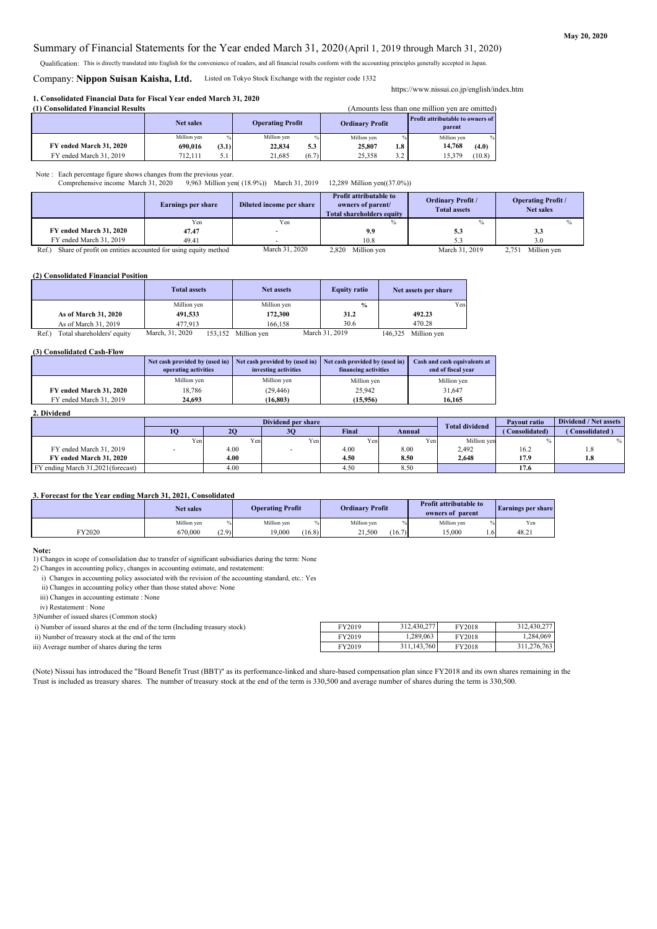#### **May 20, 2020**

#### Summary of Financial Statements for the Year ended March 31, 2020 (April 1, 2019 through March 31, 2020)

Qualification: This is directly translated into English for the convenience of readers, and all financial results conform with the accounting principles generally accepted in Japan.

### Company: **Nippon Suisan Kaisha, Ltd.** Listed on Tokyo Stock Exchange with the register code 1332

#### **1. Consolidated Financial Data for Fiscal Year ended March 31, 2020**

| (Amounts less than one million ven are omitted)<br>(1) Consolidated Financial Results |             |               |                         |       |             |     |                        |        |                                                   |  |
|---------------------------------------------------------------------------------------|-------------|---------------|-------------------------|-------|-------------|-----|------------------------|--------|---------------------------------------------------|--|
|                                                                                       | Net sales   |               | <b>Operating Profit</b> |       |             |     | <b>Ordinary Profit</b> |        | <b>Profit attributable to owners of</b><br>parent |  |
|                                                                                       | Million ven | $\frac{0}{2}$ | Million ven             |       | Million ven |     | Million ven            | $\%$   |                                                   |  |
| FY ended March 31, 2020                                                               | 690.016     | (3.1)         | 22,834                  | 5.3   | 25,807      | 1.8 | 14.768                 | (4.0)  |                                                   |  |
| FY ended March 31, 2019                                                               | 712.111     | ر.            | 21.685                  | (6.7) | 25,358      | 3.2 | 15.379                 | (10.8) |                                                   |  |

Note : Each percentage figure shows changes from the previous year.

Comprehensive income March 31, 2020 9,963 Million yen( (18.9%)) March 31, 2019 12,289 Million yen((37.0%))

|                                                                           | Earnings per share | Diluted income per share | <b>Profit attributable to</b><br>owners of parent/<br><b>Total shareholders equity</b> | <b>Ordinary Profit /</b><br><b>Total assets</b> | <b>Operating Profit /</b><br><b>Net sales</b> |
|---------------------------------------------------------------------------|--------------------|--------------------------|----------------------------------------------------------------------------------------|-------------------------------------------------|-----------------------------------------------|
|                                                                           | Yen                | Yen                      | $\%$                                                                                   |                                                 |                                               |
| FY ended March 31, 2020                                                   | 47.47              |                          | 9.9                                                                                    | 5.3                                             | 3.3                                           |
| FY ended March 31, 2019                                                   | 49.41              |                          | 10.8                                                                                   |                                                 | 3.0                                           |
| Share of profit on entities accounted for using equity method<br>$Ref.$ ) |                    | March 31, 2020           | 2,820 Million yen                                                                      | March 31, 2019                                  | Million yen<br>2.751                          |

#### **(2) Consolidated Financial Position**

|                                     | <b>Total assets</b> |         | <b>Net assets</b> |  | <b>Equity ratio</b> | Net assets per share |             |     |
|-------------------------------------|---------------------|---------|-------------------|--|---------------------|----------------------|-------------|-----|
|                                     | Million yen         |         | Million yen       |  | $\frac{0}{0}$       |                      |             | Yen |
| As of March 31, 2020                | 491,533             |         | 172,300           |  | 31.2                |                      | 492.23      |     |
| As of March 31, 2019                | 477.913             |         | 166.158           |  | 30.6                |                      | 470.28      |     |
| Total shareholders' equity<br>Ref.) | March, 31, 2020     | 153,152 | Million yen       |  | March 31, 2019      | 146,325              | Million yen |     |

#### **(3) Consolidated Cash-Flow**

|                         | Net cash provided by (used in)<br>operating activities | Net cash provided by (used in)<br>investing activities | Net cash provided by (used in)<br>financing activities | Cash and cash equivalents at<br>end of fiscal vear |
|-------------------------|--------------------------------------------------------|--------------------------------------------------------|--------------------------------------------------------|----------------------------------------------------|
|                         | Million yen                                            | Million ven                                            | Million yen                                            | Million yen                                        |
| FY ended March 31, 2020 | 18.786                                                 | (29, 446)                                              | 25.942                                                 | 31.647                                             |
| FY ended March 31, 2019 | 24.693                                                 | (16.803)                                               | (15.956)                                               | 16.165                                             |

#### **2. Dividend**

|                                    |      | Dividend per share |      |       |        |                       | Payout ratio   | Dividend / Net assets |
|------------------------------------|------|--------------------|------|-------|--------|-----------------------|----------------|-----------------------|
|                                    |      |                    | 30   | Final | Annual | <b>Total dividend</b> | (Consolidated) | Consolidated          |
|                                    | Yenl | Yen                | Yen: | Yen   | Yen    | Million ven           |                |                       |
| FY ended March 31, 2019            |      | 4.00               |      | 4.00  | 8.00   | 2,492                 | 16.2           | 1.8                   |
| FY ended March 31, 2020            |      | 4.00               |      | 4.50  | 8.50   | 2.648                 | 17.9           | 1.8                   |
| FY ending March 31,2021 (forecast) |      | 4.00               |      | 4.50  | 8.50   |                       | 17.6           |                       |

#### **3. Forecast for the Year ending March 31, 2021, Consolidated**

|                 | <b>Net sales</b> |       | <b>Operating Profit</b> |        | <b>Ordinary Profit</b> |        | <b>Profit attributable to</b><br>owners of parent |     | <b>Earnings per share</b> |
|-----------------|------------------|-------|-------------------------|--------|------------------------|--------|---------------------------------------------------|-----|---------------------------|
|                 | Million yen      |       | Million yen             |        | Million yen            |        | Million yen                                       |     | Yen                       |
| $\rm r_{Y2020}$ | 670,000          | (2.9) | 19,000                  | (16.8) | 21,500                 | (16.7) | 15,000                                            | .61 | 48.21                     |

**Note:**

1) Changes in scope of consolidation due to transfer of significant subsidiaries during the term: None

2) Changes in accounting policy, changes in accounting estimate, and restatement:

i) Changes in accounting policy associated with the revision of the accounting standard, etc.: Yes

ii) Changes in accounting policy other than those stated above: None

iii) Changes in accounting estimate : None

iv) Restatement : None

3)Number of issued shares (Common stock)

i) Number of issued shares at the end of the term (Including treasury stock) FY2019 FY2019 FY2018

(Note) Nissui has introduced the "Board Benefit Trust (BBT)" as its performance-linked and share-based compensation plan since FY2018 and its own shares remaining in the Trust is included as treasury shares. The number of treasury stock at the end of the term is 330,500 and average number of shares during the term is 330,500.

ii) Number of treasury stock at the end of the term FY2019 FY2019 FY2018 FY2018 iii) Average number of shares during the term FY2019 FY2019 FY2018 FY2018 1,284,069 312,430,277 1,289,063 312,430,277 311,143,760 311,276,763

https://www.nissui.co.jp/english/index.htm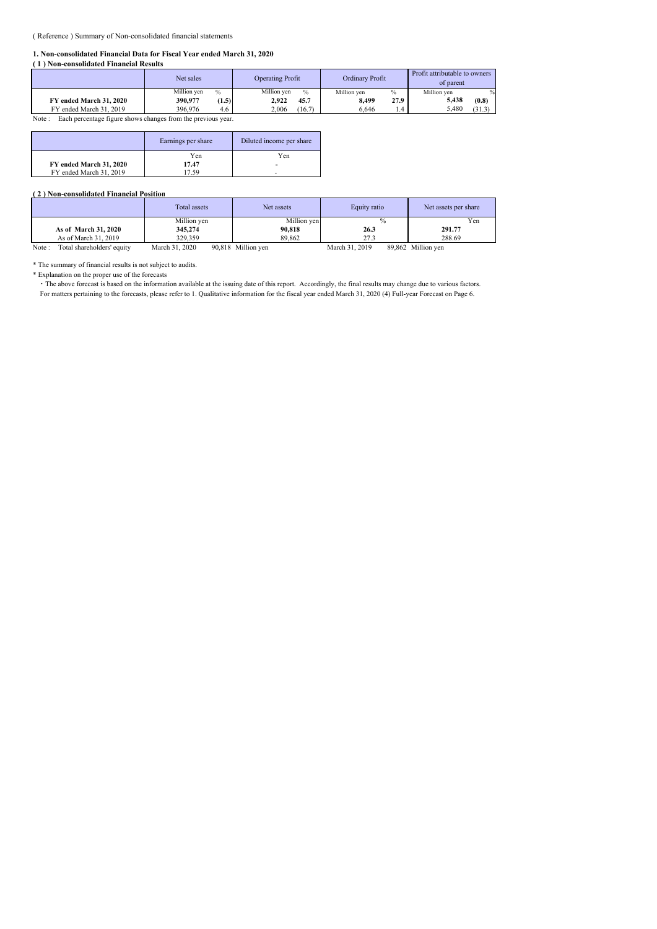#### ( Reference ) Summary of Non-consolidated financial statements

#### **1. Non-consolidated Financial Data for Fiscal Year ended March 31, 2020**

| (1) Non-consolidated Financial Results |                              |                              |                     |                                            |  |  |  |  |  |  |
|----------------------------------------|------------------------------|------------------------------|---------------------|--------------------------------------------|--|--|--|--|--|--|
|                                        | Net sales                    | <b>Operating Profit</b>      | Ordinary Profit     | Profit attributable to owners<br>of parent |  |  |  |  |  |  |
|                                        | Million ven<br>$\frac{0}{0}$ | Million ven<br>$\frac{0}{0}$ | $\%$<br>Million ven | Million ven                                |  |  |  |  |  |  |
| FY ended March 31, 2020                | 390.977<br>(1.5)             | 45.7<br>2.922                | 27.9<br>8.499       | 5.438<br>(0.8)                             |  |  |  |  |  |  |
| FY ended March 31, 2019                | 396,976<br>4.6               | (16.7)<br>2.006              | 6.646<br>1.4        | 5.480<br>(31.3)                            |  |  |  |  |  |  |

Note : Each percentage figure shows changes from the previous year.

|                         | Earnings per share | Diluted income per share |  |  |
|-------------------------|--------------------|--------------------------|--|--|
|                         | Yen                | Yen                      |  |  |
| FY ended March 31, 2020 | 17.47              | -                        |  |  |
| FY ended March 31, 2019 | 7.59               |                          |  |  |

#### **( 2 ) Non-consolidated Financial Position**

|                                     | Total assets   | Net assets         | Equity ratio   | Net assets per share |  |
|-------------------------------------|----------------|--------------------|----------------|----------------------|--|
|                                     | Million yen    | Million yen        | $\frac{0}{0}$  | Yen                  |  |
| As of March 31, 2020                | 345,274        | 90,818             | 26.3           | 291.77               |  |
| As of March 31, 2019                | 329,359        | 89,862             | 27.3           | 288.69               |  |
| Total shareholders' equity<br>Note: | March 31, 2020 | 90,818 Million yen | March 31, 2019 | 89,862 Million yen   |  |

\* The summary of financial results is not subject to audits.

\* Explanation on the proper use of the forecasts

・ The above forecast is based on the information available at the issuing date of this report. Accordingly, the final results may change due to various factors. For matters pertaining to the forecasts, please refer to 1. Qualitative information for the fiscal year ended March 31, 2020 (4) Full-year Forecast on Page 6.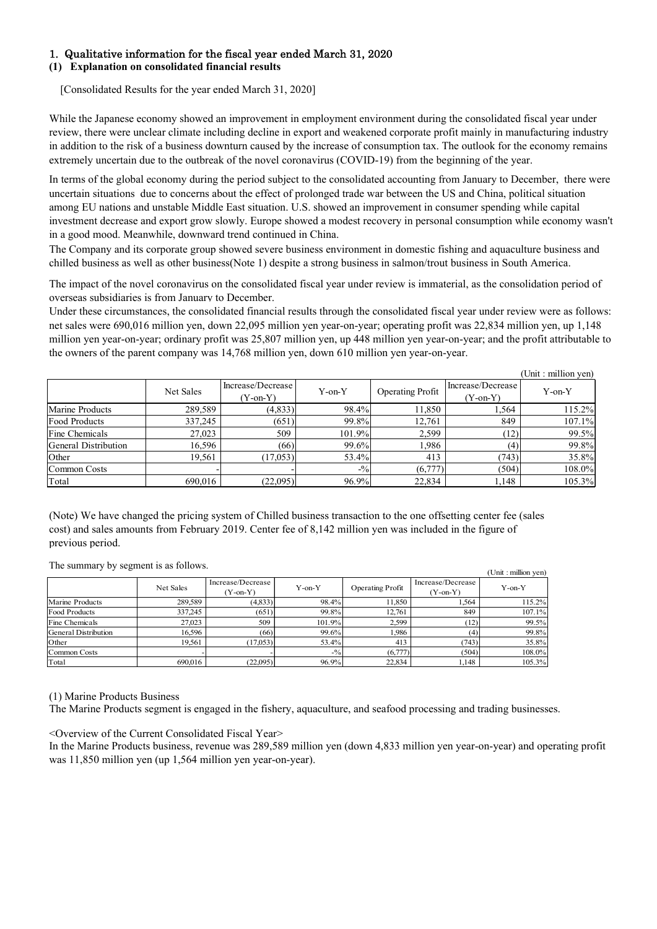# 1. Qualitative information for the fiscal year ended March 31, 2020

### **(1) Explanation on consolidated financial results**

[Consolidated Results for the year ended March 31, 2020]

While the Japanese economy showed an improvement in employment environment during the consolidated fiscal year under review, there were unclear climate including decline in export and weakened corporate profit mainly in manufacturing industry in addition to the risk of a business downturn caused by the increase of consumption tax. The outlook for the economy remains extremely uncertain due to the outbreak of the novel coronavirus (COVID-19) from the beginning of the year.

In terms of the global economy during the period subject to the consolidated accounting from January to December, there were uncertain situations due to concerns about the effect of prolonged trade war between the US and China, political situation among EU nations and unstable Middle East situation. U.S. showed an improvement in consumer spending while capital investment decrease and export grow slowly. Europe showed a modest recovery in personal consumption while economy wasn't in a good mood. Meanwhile, downward trend continued in China.

The Company and its corporate group showed severe business environment in domestic fishing and aquaculture business and chilled business as well as other business(Note 1) despite a strong business in salmon/trout business in South America.

The impact of the novel coronavirus on the consolidated fiscal year under review is immaterial, as the consolidation period of overseas subsidiaries is from January to December.

Under these circumstances, the consolidated financial results through the consolidated fiscal year under review were as follows: net sales were 690,016 million yen, down 22,095 million yen year-on-year; operating profit was 22,834 million yen, up 1,148 million yen year-on-year; ordinary profit was 25,807 million yen, up 448 million yen year-on-year; and the profit attributable to the owners of the parent company was 14,768 million yen, down 610 million yen year-on-year.

|                      |           |                                 |              |                         |                                 | (Unit : million yen) |
|----------------------|-----------|---------------------------------|--------------|-------------------------|---------------------------------|----------------------|
|                      | Net Sales | Increase/Decrease<br>$(Y-on-Y)$ | $Y$ -on- $Y$ | <b>Operating Profit</b> | Increase/Decrease<br>$(Y-on-Y)$ | $Y$ -on- $Y$         |
| Marine Products      | 289.589   | (4,833)                         | 98.4%        | 11,850                  | 1,564                           | 115.2%               |
| Food Products        | 337,245   | (651)                           | 99.8%        | 12,761                  | 849                             | 107.1%               |
| Fine Chemicals       | 27,023    | 509                             | 101.9%       | 2,599                   | (12)                            | 99.5%                |
| General Distribution | 16,596    | (66)                            | 99.6%        | 1,986                   | (4)                             | 99.8%                |
| Other                | 19,561    | (17,053)                        | 53.4%        | 413                     | (743)                           | 35.8%                |
| Common Costs         |           |                                 | $-9/0$       | (6,777)                 | (504)                           | 108.0%               |
| Total                | 690,016   | (22,095)                        | 96.9%        | 22,834                  | 1,148                           | 105.3%               |

(Note) We have changed the pricing system of Chilled business transaction to the one offsetting center fee (sales cost) and sales amounts from February 2019. Center fee of 8,142 million yen was included in the figure of previous period.

(Unit : million yen) Net Sales Increase/Decrease (Y-on-Y) Y-on-Y Operating Profit Increase/Decrease ease/Decrease<br>(Y-on-Y) Y-on-Y Marine Products  $289,589$  (4,833) 98.4% 11,850 1,564 115.2% Food Products 337,245 (651) 99.8% 12,761 849 107.1% Fine Chemicals  $27,023$  509 101.9% 2,599 (12) 99.5% General Distribution 16,596 (66) 99.6% 1,986 (4) 99.8% Other 19,561 (17,053) 53.4% 413 (743) 35.8% Common Costs (and the common Costs and the common Costs (common Costs and the common Costs and the common Cost Total 690,016 (22,095) 96.9% 22,834 1,148 105.3%

The summary by segment is as follows.

(1) Marine Products Business

The Marine Products segment is engaged in the fishery, aquaculture, and seafood processing and trading businesses.

#### <Overview of the Current Consolidated Fiscal Year>

In the Marine Products business, revenue was 289,589 million yen (down 4,833 million yen year-on-year) and operating profit was 11,850 million yen (up 1,564 million yen year-on-year).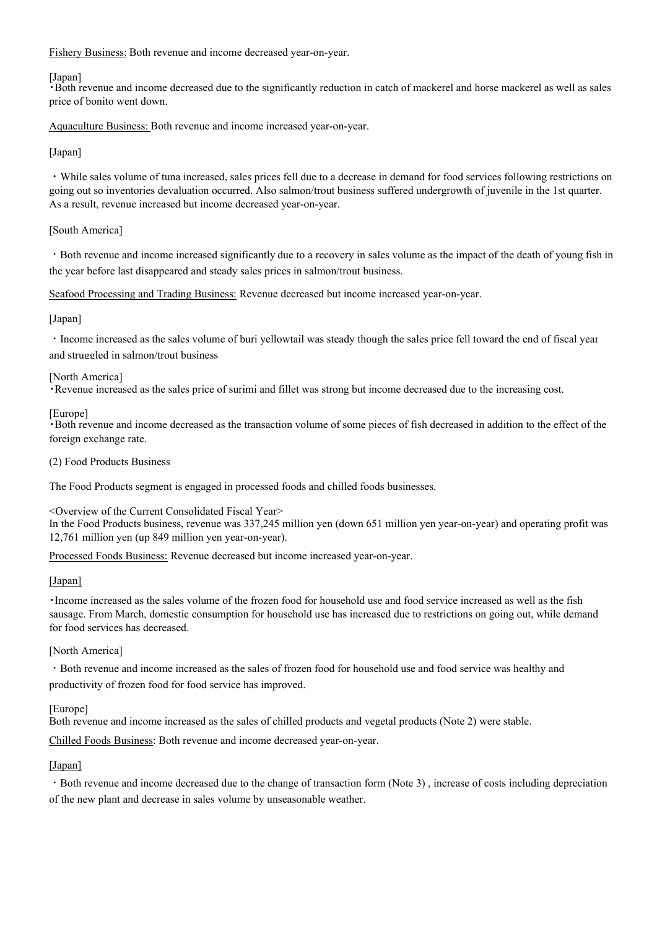Fishery Business: Both revenue and income decreased year-on-year.

### [Japan]

・Both revenue and income decreased due to the significantly reduction in catch of mackerel and horse mackerel as well as sales price of bonito went down.

Aquaculture Business: Both revenue and income increased year-on-year.

### [Japan]

・While sales volume of tuna increased, sales prices fell due to a decrease in demand for food services following restrictions on going out so inventories devaluation occurred. Also salmon/trout business suffered undergrowth of juvenile in the 1st quarter. As a result, revenue increased but income decreased year-on-year.

### [South America]

・Both revenue and income increased significantly due to a recovery in sales volume as the impact of the death of young fish in the year before last disappeared and steady sales prices in salmon/trout business.

Seafood Processing and Trading Business: Revenue decreased but income increased year-on-year.

### [Japan]

・Income increased as the sales volume of buri yellowtail was steady though the sales price fell toward the end of fiscal year and struggled in salmon/trout business

#### [North America]

・Revenue increased as the sales price of surimi and fillet was strong but income decreased due to the increasing cost.

### [Europe]

・Both revenue and income decreased as the transaction volume of some pieces of fish decreased in addition to the effect of the foreign exchange rate.

(2) Food Products Business

The Food Products segment is engaged in processed foods and chilled foods businesses.

<Overview of the Current Consolidated Fiscal Year>

In the Food Products business, revenue was 337,245 million yen (down 651 million yen year-on-year) and operating profit was 12,761 million yen (up 849 million yen year-on-year).

Processed Foods Business: Revenue decreased but income increased year-on-year.

#### [Japan]

・Income increased as the sales volume of the frozen food for household use and food service increased as well as the fish sausage. From March, domestic consumption for household use has increased due to restrictions on going out, while demand for food services has decreased.

#### [North America]

・Both revenue and income increased as the sales of frozen food for household use and food service was healthy and productivity of frozen food for food service has improved.

#### [Europe]

Both revenue and income increased as the sales of chilled products and vegetal products (Note 2) were stable.

Chilled Foods Business: Both revenue and income decreased year-on-year.

#### [Japan]

・Both revenue and income decreased due to the change of transaction form (Note 3) , increase of costs including depreciation of the new plant and decrease in sales volume by unseasonable weather.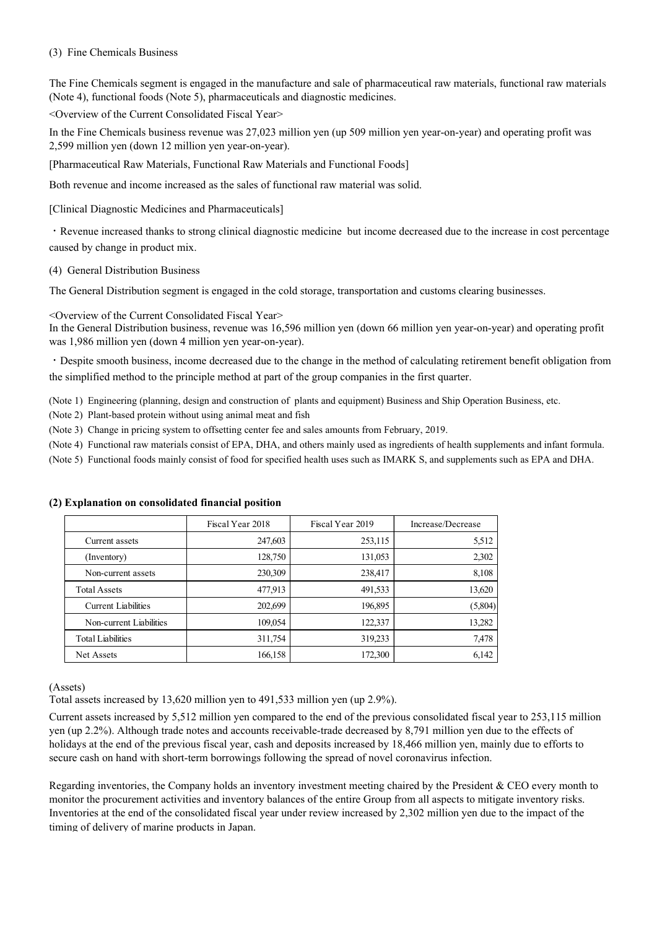### (3) Fine Chemicals Business

The Fine Chemicals segment is engaged in the manufacture and sale of pharmaceutical raw materials, functional raw materials (Note 4), functional foods (Note 5), pharmaceuticals and diagnostic medicines.

<Overview of the Current Consolidated Fiscal Year>

In the Fine Chemicals business revenue was 27,023 million yen (up 509 million yen year-on-year) and operating profit was 2,599 million yen (down 12 million yen year-on-year).

[Pharmaceutical Raw Materials, Functional Raw Materials and Functional Foods]

Both revenue and income increased as the sales of functional raw material was solid.

[Clinical Diagnostic Medicines and Pharmaceuticals]

・Revenue increased thanks to strong clinical diagnostic medicine but income decreased due to the increase in cost percentage caused by change in product mix.

(4) General Distribution Business

The General Distribution segment is engaged in the cold storage, transportation and customs clearing businesses.

<Overview of the Current Consolidated Fiscal Year>

In the General Distribution business, revenue was 16,596 million yen (down 66 million yen year-on-year) and operating profit was 1,986 million yen (down 4 million yen year-on-year).

・Despite smooth business, income decreased due to the change in the method of calculating retirement benefit obligation from the simplified method to the principle method at part of the group companies in the first quarter.

(Note 1) Engineering (planning, design and construction of plants and equipment) Business and Ship Operation Business, etc.

(Note 2) Plant-based protein without using animal meat and fish

(Note 3) Change in pricing system to offsetting center fee and sales amounts from February, 2019.

(Note 4) Functional raw materials consist of EPA, DHA, and others mainly used as ingredients of health supplements and infant formula.

(Note 5) Functional foods mainly consist of food for specified health uses such as IMARK S, and supplements such as EPA and DHA.

|                            | Fiscal Year 2018 | Fiscal Year 2019 | Increase/Decrease |
|----------------------------|------------------|------------------|-------------------|
| Current assets             | 247,603          | 253,115          | 5,512             |
| (Inventory)                | 128,750          | 131,053          | 2,302             |
| Non-current assets         | 230,309          | 238,417          | 8,108             |
| <b>Total Assets</b>        | 477,913          | 491,533          | 13,620            |
| <b>Current Liabilities</b> | 202,699          | 196,895          | (5,804)           |
| Non-current Liabilities    | 109,054          | 122,337          | 13,282            |
| <b>Total Liabilities</b>   | 311,754          | 319,233          | 7,478             |
| Net Assets                 | 166,158          | 172,300          | 6,142             |

#### **(2) Explanation on consolidated financial position**

(Assets)

Total assets increased by 13,620 million yen to 491,533 million yen (up 2.9%).

Current assets increased by 5,512 million yen compared to the end of the previous consolidated fiscal year to 253,115 million yen (up 2.2%). Although trade notes and accounts receivable-trade decreased by 8,791 million yen due to the effects of holidays at the end of the previous fiscal year, cash and deposits increased by 18,466 million yen, mainly due to efforts to secure cash on hand with short-term borrowings following the spread of novel coronavirus infection.

Regarding inventories, the Company holds an inventory investment meeting chaired by the President & CEO every month to monitor the procurement activities and inventory balances of the entire Group from all aspects to mitigate inventory risks. Inventories at the end of the consolidated fiscal year under review increased by 2,302 million yen due to the impact of the timing of delivery of marine products in Japan.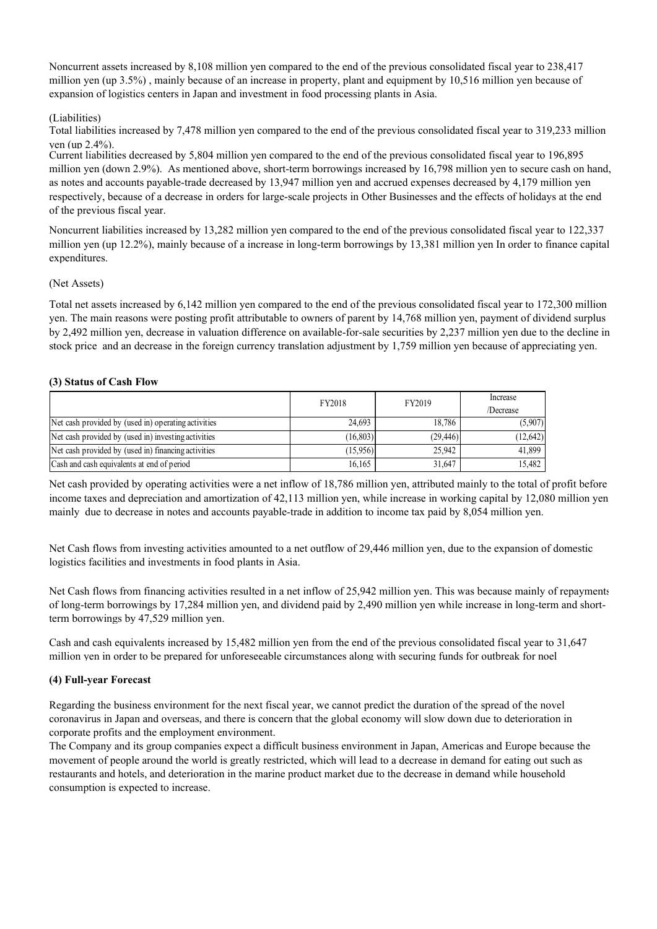Noncurrent assets increased by 8,108 million yen compared to the end of the previous consolidated fiscal year to 238,417 million yen (up 3.5%) , mainly because of an increase in property, plant and equipment by 10,516 million yen because of expansion of logistics centers in Japan and investment in food processing plants in Asia.

# (Liabilities)

Total liabilities increased by 7,478 million yen compared to the end of the previous consolidated fiscal year to 319,233 million yen (up 2.4%).

Current liabilities decreased by 5,804 million yen compared to the end of the previous consolidated fiscal year to 196,895 million yen (down 2.9%). As mentioned above, short-term borrowings increased by 16,798 million yen to secure cash on hand, as notes and accounts payable-trade decreased by 13,947 million yen and accrued expenses decreased by 4,179 million yen respectively, because of a decrease in orders for large-scale projects in Other Businesses and the effects of holidays at the end of the previous fiscal year.

Noncurrent liabilities increased by 13,282 million yen compared to the end of the previous consolidated fiscal year to 122,337 million yen (up 12.2%), mainly because of a increase in long-term borrowings by 13,381 million yen In order to finance capital expenditures.

# (Net Assets)

Total net assets increased by 6,142 million yen compared to the end of the previous consolidated fiscal year to 172,300 million yen. The main reasons were posting profit attributable to owners of parent by 14,768 million yen, payment of dividend surplus by 2,492 million yen, decrease in valuation difference on available-for-sale securities by 2,237 million yen due to the decline in stock price and an decrease in the foreign currency translation adjustment by 1,759 million yen because of appreciating yen.

# **(3) Status of Cash Flow**

|                                                     | FY2018    | FY2019    | Increase<br>/Decrease |
|-----------------------------------------------------|-----------|-----------|-----------------------|
| Net cash provided by (used in) operating activities | 24,693    | 18.786    | (5,907)               |
| Net cash provided by (used in) investing activities | (16, 803) | (29, 446) | (12, 642)             |
| Net cash provided by (used in) financing activities | (15,956)  | 25,942    | 41,899                |
| Cash and cash equivalents at end of period          | 16.165    | 31.647    | 15.482                |

Net cash provided by operating activities were a net inflow of 18,786 million yen, attributed mainly to the total of profit before income taxes and depreciation and amortization of 42,113 million yen, while increase in working capital by 12,080 million yen mainly due to decrease in notes and accounts payable-trade in addition to income tax paid by 8,054 million yen.

Net Cash flows from investing activities amounted to a net outflow of 29,446 million yen, due to the expansion of domestic logistics facilities and investments in food plants in Asia.

Net Cash flows from financing activities resulted in a net inflow of 25,942 million yen. This was because mainly of repayments of long-term borrowings by 17,284 million yen, and dividend paid by 2,490 million yen while increase in long-term and shortterm borrowings by 47,529 million yen.

Cash and cash equivalents increased by 15,482 million yen from the end of the previous consolidated fiscal year to 31,647 million yen in order to be prepared for unforeseeable circumstances along with securing funds for outbreak for noel

# **(4) Full-year Forecast**

Regarding the business environment for the next fiscal year, we cannot predict the duration of the spread of the novel coronavirus in Japan and overseas, and there is concern that the global economy will slow down due to deterioration in corporate profits and the employment environment.

The Company and its group companies expect a difficult business environment in Japan, Americas and Europe because the movement of people around the world is greatly restricted, which will lead to a decrease in demand for eating out such as restaurants and hotels, and deterioration in the marine product market due to the decrease in demand while household consumption is expected to increase.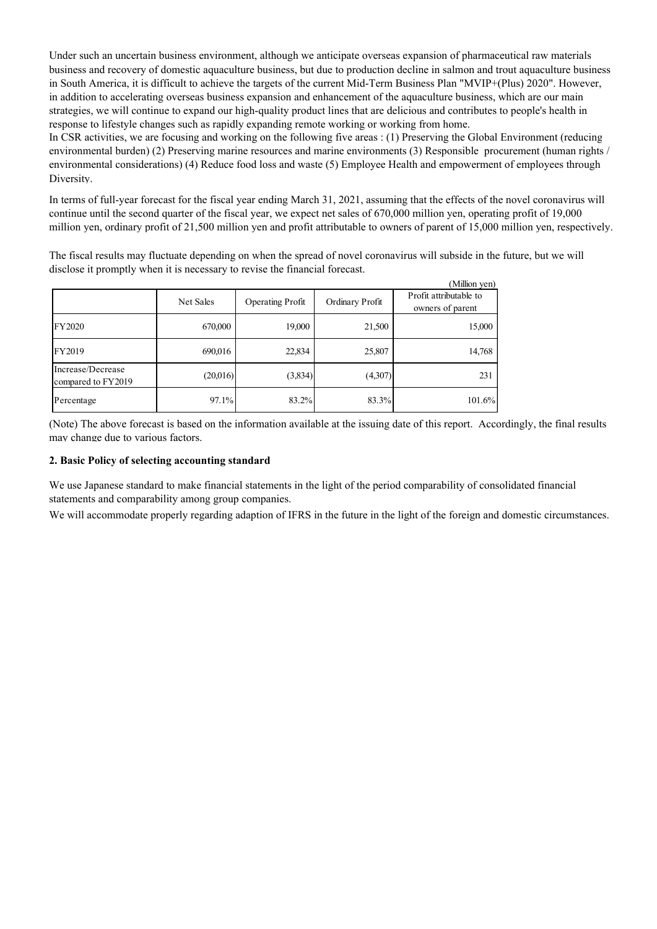Under such an uncertain business environment, although we anticipate overseas expansion of pharmaceutical raw materials business and recovery of domestic aquaculture business, but due to production decline in salmon and trout aquaculture business in South America, it is difficult to achieve the targets of the current Mid-Term Business Plan "MVIP+(Plus) 2020". However, in addition to accelerating overseas business expansion and enhancement of the aquaculture business, which are our main strategies, we will continue to expand our high-quality product lines that are delicious and contributes to people's health in response to lifestyle changes such as rapidly expanding remote working or working from home.

In CSR activities, we are focusing and working on the following five areas : (1) Preserving the Global Environment (reducing environmental burden) (2) Preserving marine resources and marine environments (3) Responsible procurement (human rights / environmental considerations) (4) Reduce food loss and waste (5) Employee Health and empowerment of employees through Diversity.

In terms of full-year forecast for the fiscal year ending March 31, 2021, assuming that the effects of the novel coronavirus will continue until the second quarter of the fiscal year, we expect net sales of 670,000 million yen, operating profit of 19,000 million yen, ordinary profit of 21,500 million yen and profit attributable to owners of parent of 15,000 million yen, respectively.

 $\alpha$  and

The fiscal results may fluctuate depending on when the spread of novel coronavirus will subside in the future, but we will disclose it promptly when it is necessary to revise the financial forecast.

|                                         |           |                  |                 | пишоп уеп)                                 |
|-----------------------------------------|-----------|------------------|-----------------|--------------------------------------------|
|                                         | Net Sales | Operating Profit | Ordinary Profit | Profit attributable to<br>owners of parent |
| <b>FY2020</b>                           | 670,000   | 19,000           | 21,500          | 15,000                                     |
| FY2019                                  | 690,016   | 22,834           | 25,807          | 14,768                                     |
| Increase/Decrease<br>compared to FY2019 | (20,016)  | (3,834)          | (4,307)         | 231                                        |
| Percentage                              | 97.1%     | 83.2%            | 83.3%           | 101.6%                                     |

(Note) The above forecast is based on the information available at the issuing date of this report. Accordingly, the final results may change due to various factors.

# **2. Basic Policy of selecting accounting standard**

We use Japanese standard to make financial statements in the light of the period comparability of consolidated financial statements and comparability among group companies.

We will accommodate properly regarding adaption of IFRS in the future in the light of the foreign and domestic circumstances.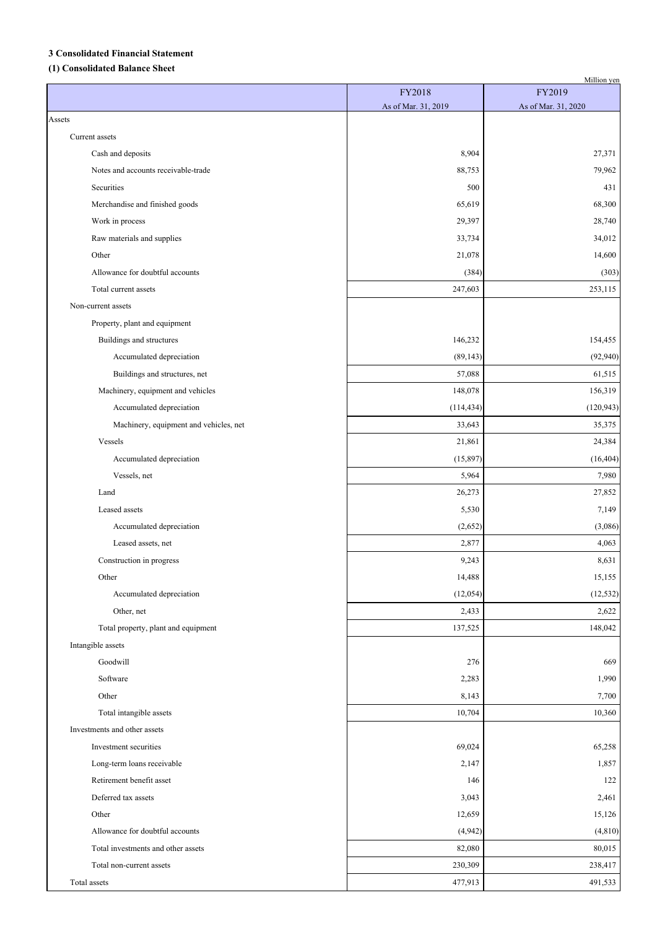### **3 Consolidated Financial Statement**

# **(1) Consolidated Balance Sheet**

|                                        |                               | Million yen                   |
|----------------------------------------|-------------------------------|-------------------------------|
|                                        | FY2018<br>As of Mar. 31, 2019 | FY2019<br>As of Mar. 31, 2020 |
| Assets                                 |                               |                               |
| Current assets                         |                               |                               |
| Cash and deposits                      | 8,904                         | 27,371                        |
| Notes and accounts receivable-trade    | 88,753                        | 79,962                        |
| Securities                             | 500                           | 431                           |
| Merchandise and finished goods         | 65,619                        | 68,300                        |
| Work in process                        | 29,397                        | 28,740                        |
| Raw materials and supplies             | 33,734                        | 34,012                        |
| Other                                  | 21,078                        | 14,600                        |
| Allowance for doubtful accounts        | (384)                         | (303)                         |
| Total current assets                   | 247,603                       | 253,115                       |
| Non-current assets                     |                               |                               |
| Property, plant and equipment          |                               |                               |
| Buildings and structures               | 146,232                       | 154,455                       |
| Accumulated depreciation               | (89, 143)                     | (92, 940)                     |
| Buildings and structures, net          | 57,088                        | 61,515                        |
| Machinery, equipment and vehicles      | 148,078                       | 156,319                       |
| Accumulated depreciation               | (114, 434)                    | (120, 943)                    |
| Machinery, equipment and vehicles, net | 33,643                        | 35,375                        |
| Vessels                                | 21,861                        | 24,384                        |
| Accumulated depreciation               | (15,897)                      | (16, 404)                     |
| Vessels, net                           | 5,964                         | 7,980                         |
| Land                                   | 26,273                        | 27,852                        |
| Leased assets                          | 5,530                         | 7,149                         |
| Accumulated depreciation               | (2,652)                       | (3,086)                       |
| Leased assets, net                     | 2,877                         | 4,063                         |
| Construction in progress               | 9,243                         | 8,631                         |
| Other                                  | 14,488                        | 15,155                        |
| Accumulated depreciation               | (12,054)                      | (12, 532)                     |
| Other, net                             | 2,433                         | 2,622                         |
| Total property, plant and equipment    | 137,525                       | 148,042                       |
| Intangible assets                      |                               |                               |
| Goodwill                               | 276                           | 669                           |
| Software                               | 2,283                         | 1,990                         |
| Other                                  | 8,143                         | 7,700                         |
| Total intangible assets                | 10,704                        | 10,360                        |
| Investments and other assets           |                               |                               |
| Investment securities                  | 69,024                        | 65,258                        |
| Long-term loans receivable             | 2,147                         | 1,857                         |
| Retirement benefit asset               | 146                           | 122                           |
| Deferred tax assets                    | 3,043                         | 2,461                         |
| Other                                  | 12,659                        | 15,126                        |
| Allowance for doubtful accounts        | (4,942)                       | (4, 810)                      |
| Total investments and other assets     | 82,080                        | 80,015                        |
| Total non-current assets               | 230,309                       | 238,417                       |
| Total assets                           | 477,913                       | 491,533                       |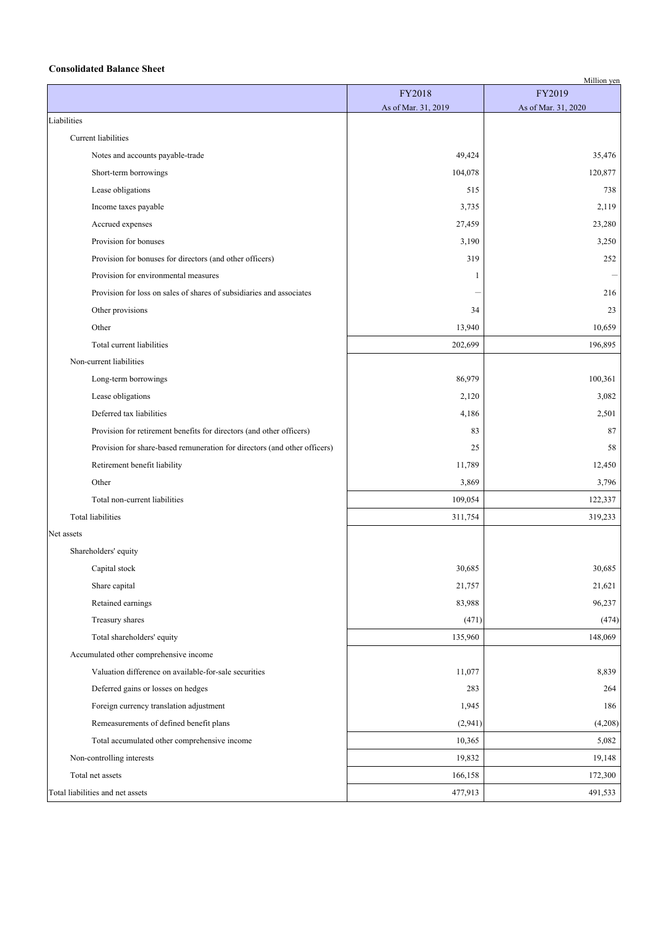### **Consolidated Balance Sheet**

| FY2019<br>FY2018<br>As of Mar. 31, 2019<br>As of Mar. 31, 2020<br>Liabilities<br>Current liabilities<br>49,424<br>Notes and accounts payable-trade<br>35,476<br>104,078<br>120,877<br>Short-term borrowings<br>Lease obligations<br>515<br>738<br>Income taxes payable<br>3,735<br>2,119<br>Accrued expenses<br>27,459<br>23,280<br>Provision for bonuses<br>3,190<br>3,250<br>Provision for bonuses for directors (and other officers)<br>319<br>252<br>Provision for environmental measures<br>1<br>Provision for loss on sales of shares of subsidiaries and associates<br>216<br>Other provisions<br>34<br>23<br>Other<br>13,940<br>10,659<br>Total current liabilities<br>202,699<br>196,895<br>Non-current liabilities<br>100,361<br>Long-term borrowings<br>86,979<br>Lease obligations<br>2,120<br>3,082<br>Deferred tax liabilities<br>2,501<br>4,186<br>Provision for retirement benefits for directors (and other officers)<br>87<br>83<br>Provision for share-based remuneration for directors (and other officers)<br>25<br>58<br>Retirement benefit liability<br>11,789<br>12,450<br>3,796<br>Other<br>3,869<br>Total non-current liabilities<br>109,054<br>122,337<br><b>Total liabilities</b><br>319,233<br>311,754<br>Shareholders' equity<br>30,685<br>30,685<br>Capital stock<br>Share capital<br>21,757<br>21,621<br>96,237<br>83,988<br>Retained earnings<br>Treasury shares<br>(471)<br>(474)<br>Total shareholders' equity<br>135,960<br>148,069<br>Accumulated other comprehensive income<br>Valuation difference on available-for-sale securities<br>11,077<br>8,839<br>Deferred gains or losses on hedges<br>283<br>264<br>Foreign currency translation adjustment<br>1,945<br>186<br>Remeasurements of defined benefit plans<br>(2,941)<br>(4,208)<br>10,365<br>5,082<br>Total accumulated other comprehensive income<br>19,148<br>Non-controlling interests<br>19,832<br>Total net assets<br>166,158<br>172,300 |                                  |         | Million yen |
|---------------------------------------------------------------------------------------------------------------------------------------------------------------------------------------------------------------------------------------------------------------------------------------------------------------------------------------------------------------------------------------------------------------------------------------------------------------------------------------------------------------------------------------------------------------------------------------------------------------------------------------------------------------------------------------------------------------------------------------------------------------------------------------------------------------------------------------------------------------------------------------------------------------------------------------------------------------------------------------------------------------------------------------------------------------------------------------------------------------------------------------------------------------------------------------------------------------------------------------------------------------------------------------------------------------------------------------------------------------------------------------------------------------------------------------------------------------------------------------------------------------------------------------------------------------------------------------------------------------------------------------------------------------------------------------------------------------------------------------------------------------------------------------------------------------------------------------------------------------------------------------------------------------------------------------------|----------------------------------|---------|-------------|
|                                                                                                                                                                                                                                                                                                                                                                                                                                                                                                                                                                                                                                                                                                                                                                                                                                                                                                                                                                                                                                                                                                                                                                                                                                                                                                                                                                                                                                                                                                                                                                                                                                                                                                                                                                                                                                                                                                                                             |                                  |         |             |
|                                                                                                                                                                                                                                                                                                                                                                                                                                                                                                                                                                                                                                                                                                                                                                                                                                                                                                                                                                                                                                                                                                                                                                                                                                                                                                                                                                                                                                                                                                                                                                                                                                                                                                                                                                                                                                                                                                                                             |                                  |         |             |
|                                                                                                                                                                                                                                                                                                                                                                                                                                                                                                                                                                                                                                                                                                                                                                                                                                                                                                                                                                                                                                                                                                                                                                                                                                                                                                                                                                                                                                                                                                                                                                                                                                                                                                                                                                                                                                                                                                                                             |                                  |         |             |
|                                                                                                                                                                                                                                                                                                                                                                                                                                                                                                                                                                                                                                                                                                                                                                                                                                                                                                                                                                                                                                                                                                                                                                                                                                                                                                                                                                                                                                                                                                                                                                                                                                                                                                                                                                                                                                                                                                                                             |                                  |         |             |
|                                                                                                                                                                                                                                                                                                                                                                                                                                                                                                                                                                                                                                                                                                                                                                                                                                                                                                                                                                                                                                                                                                                                                                                                                                                                                                                                                                                                                                                                                                                                                                                                                                                                                                                                                                                                                                                                                                                                             |                                  |         |             |
|                                                                                                                                                                                                                                                                                                                                                                                                                                                                                                                                                                                                                                                                                                                                                                                                                                                                                                                                                                                                                                                                                                                                                                                                                                                                                                                                                                                                                                                                                                                                                                                                                                                                                                                                                                                                                                                                                                                                             |                                  |         |             |
|                                                                                                                                                                                                                                                                                                                                                                                                                                                                                                                                                                                                                                                                                                                                                                                                                                                                                                                                                                                                                                                                                                                                                                                                                                                                                                                                                                                                                                                                                                                                                                                                                                                                                                                                                                                                                                                                                                                                             |                                  |         |             |
|                                                                                                                                                                                                                                                                                                                                                                                                                                                                                                                                                                                                                                                                                                                                                                                                                                                                                                                                                                                                                                                                                                                                                                                                                                                                                                                                                                                                                                                                                                                                                                                                                                                                                                                                                                                                                                                                                                                                             |                                  |         |             |
|                                                                                                                                                                                                                                                                                                                                                                                                                                                                                                                                                                                                                                                                                                                                                                                                                                                                                                                                                                                                                                                                                                                                                                                                                                                                                                                                                                                                                                                                                                                                                                                                                                                                                                                                                                                                                                                                                                                                             |                                  |         |             |
|                                                                                                                                                                                                                                                                                                                                                                                                                                                                                                                                                                                                                                                                                                                                                                                                                                                                                                                                                                                                                                                                                                                                                                                                                                                                                                                                                                                                                                                                                                                                                                                                                                                                                                                                                                                                                                                                                                                                             |                                  |         |             |
|                                                                                                                                                                                                                                                                                                                                                                                                                                                                                                                                                                                                                                                                                                                                                                                                                                                                                                                                                                                                                                                                                                                                                                                                                                                                                                                                                                                                                                                                                                                                                                                                                                                                                                                                                                                                                                                                                                                                             |                                  |         |             |
|                                                                                                                                                                                                                                                                                                                                                                                                                                                                                                                                                                                                                                                                                                                                                                                                                                                                                                                                                                                                                                                                                                                                                                                                                                                                                                                                                                                                                                                                                                                                                                                                                                                                                                                                                                                                                                                                                                                                             |                                  |         |             |
|                                                                                                                                                                                                                                                                                                                                                                                                                                                                                                                                                                                                                                                                                                                                                                                                                                                                                                                                                                                                                                                                                                                                                                                                                                                                                                                                                                                                                                                                                                                                                                                                                                                                                                                                                                                                                                                                                                                                             |                                  |         |             |
|                                                                                                                                                                                                                                                                                                                                                                                                                                                                                                                                                                                                                                                                                                                                                                                                                                                                                                                                                                                                                                                                                                                                                                                                                                                                                                                                                                                                                                                                                                                                                                                                                                                                                                                                                                                                                                                                                                                                             |                                  |         |             |
|                                                                                                                                                                                                                                                                                                                                                                                                                                                                                                                                                                                                                                                                                                                                                                                                                                                                                                                                                                                                                                                                                                                                                                                                                                                                                                                                                                                                                                                                                                                                                                                                                                                                                                                                                                                                                                                                                                                                             |                                  |         |             |
|                                                                                                                                                                                                                                                                                                                                                                                                                                                                                                                                                                                                                                                                                                                                                                                                                                                                                                                                                                                                                                                                                                                                                                                                                                                                                                                                                                                                                                                                                                                                                                                                                                                                                                                                                                                                                                                                                                                                             |                                  |         |             |
|                                                                                                                                                                                                                                                                                                                                                                                                                                                                                                                                                                                                                                                                                                                                                                                                                                                                                                                                                                                                                                                                                                                                                                                                                                                                                                                                                                                                                                                                                                                                                                                                                                                                                                                                                                                                                                                                                                                                             |                                  |         |             |
|                                                                                                                                                                                                                                                                                                                                                                                                                                                                                                                                                                                                                                                                                                                                                                                                                                                                                                                                                                                                                                                                                                                                                                                                                                                                                                                                                                                                                                                                                                                                                                                                                                                                                                                                                                                                                                                                                                                                             |                                  |         |             |
|                                                                                                                                                                                                                                                                                                                                                                                                                                                                                                                                                                                                                                                                                                                                                                                                                                                                                                                                                                                                                                                                                                                                                                                                                                                                                                                                                                                                                                                                                                                                                                                                                                                                                                                                                                                                                                                                                                                                             |                                  |         |             |
|                                                                                                                                                                                                                                                                                                                                                                                                                                                                                                                                                                                                                                                                                                                                                                                                                                                                                                                                                                                                                                                                                                                                                                                                                                                                                                                                                                                                                                                                                                                                                                                                                                                                                                                                                                                                                                                                                                                                             |                                  |         |             |
|                                                                                                                                                                                                                                                                                                                                                                                                                                                                                                                                                                                                                                                                                                                                                                                                                                                                                                                                                                                                                                                                                                                                                                                                                                                                                                                                                                                                                                                                                                                                                                                                                                                                                                                                                                                                                                                                                                                                             |                                  |         |             |
|                                                                                                                                                                                                                                                                                                                                                                                                                                                                                                                                                                                                                                                                                                                                                                                                                                                                                                                                                                                                                                                                                                                                                                                                                                                                                                                                                                                                                                                                                                                                                                                                                                                                                                                                                                                                                                                                                                                                             |                                  |         |             |
|                                                                                                                                                                                                                                                                                                                                                                                                                                                                                                                                                                                                                                                                                                                                                                                                                                                                                                                                                                                                                                                                                                                                                                                                                                                                                                                                                                                                                                                                                                                                                                                                                                                                                                                                                                                                                                                                                                                                             |                                  |         |             |
|                                                                                                                                                                                                                                                                                                                                                                                                                                                                                                                                                                                                                                                                                                                                                                                                                                                                                                                                                                                                                                                                                                                                                                                                                                                                                                                                                                                                                                                                                                                                                                                                                                                                                                                                                                                                                                                                                                                                             |                                  |         |             |
|                                                                                                                                                                                                                                                                                                                                                                                                                                                                                                                                                                                                                                                                                                                                                                                                                                                                                                                                                                                                                                                                                                                                                                                                                                                                                                                                                                                                                                                                                                                                                                                                                                                                                                                                                                                                                                                                                                                                             |                                  |         |             |
|                                                                                                                                                                                                                                                                                                                                                                                                                                                                                                                                                                                                                                                                                                                                                                                                                                                                                                                                                                                                                                                                                                                                                                                                                                                                                                                                                                                                                                                                                                                                                                                                                                                                                                                                                                                                                                                                                                                                             |                                  |         |             |
|                                                                                                                                                                                                                                                                                                                                                                                                                                                                                                                                                                                                                                                                                                                                                                                                                                                                                                                                                                                                                                                                                                                                                                                                                                                                                                                                                                                                                                                                                                                                                                                                                                                                                                                                                                                                                                                                                                                                             | Net assets                       |         |             |
|                                                                                                                                                                                                                                                                                                                                                                                                                                                                                                                                                                                                                                                                                                                                                                                                                                                                                                                                                                                                                                                                                                                                                                                                                                                                                                                                                                                                                                                                                                                                                                                                                                                                                                                                                                                                                                                                                                                                             |                                  |         |             |
|                                                                                                                                                                                                                                                                                                                                                                                                                                                                                                                                                                                                                                                                                                                                                                                                                                                                                                                                                                                                                                                                                                                                                                                                                                                                                                                                                                                                                                                                                                                                                                                                                                                                                                                                                                                                                                                                                                                                             |                                  |         |             |
|                                                                                                                                                                                                                                                                                                                                                                                                                                                                                                                                                                                                                                                                                                                                                                                                                                                                                                                                                                                                                                                                                                                                                                                                                                                                                                                                                                                                                                                                                                                                                                                                                                                                                                                                                                                                                                                                                                                                             |                                  |         |             |
|                                                                                                                                                                                                                                                                                                                                                                                                                                                                                                                                                                                                                                                                                                                                                                                                                                                                                                                                                                                                                                                                                                                                                                                                                                                                                                                                                                                                                                                                                                                                                                                                                                                                                                                                                                                                                                                                                                                                             |                                  |         |             |
|                                                                                                                                                                                                                                                                                                                                                                                                                                                                                                                                                                                                                                                                                                                                                                                                                                                                                                                                                                                                                                                                                                                                                                                                                                                                                                                                                                                                                                                                                                                                                                                                                                                                                                                                                                                                                                                                                                                                             |                                  |         |             |
|                                                                                                                                                                                                                                                                                                                                                                                                                                                                                                                                                                                                                                                                                                                                                                                                                                                                                                                                                                                                                                                                                                                                                                                                                                                                                                                                                                                                                                                                                                                                                                                                                                                                                                                                                                                                                                                                                                                                             |                                  |         |             |
|                                                                                                                                                                                                                                                                                                                                                                                                                                                                                                                                                                                                                                                                                                                                                                                                                                                                                                                                                                                                                                                                                                                                                                                                                                                                                                                                                                                                                                                                                                                                                                                                                                                                                                                                                                                                                                                                                                                                             |                                  |         |             |
|                                                                                                                                                                                                                                                                                                                                                                                                                                                                                                                                                                                                                                                                                                                                                                                                                                                                                                                                                                                                                                                                                                                                                                                                                                                                                                                                                                                                                                                                                                                                                                                                                                                                                                                                                                                                                                                                                                                                             |                                  |         |             |
|                                                                                                                                                                                                                                                                                                                                                                                                                                                                                                                                                                                                                                                                                                                                                                                                                                                                                                                                                                                                                                                                                                                                                                                                                                                                                                                                                                                                                                                                                                                                                                                                                                                                                                                                                                                                                                                                                                                                             |                                  |         |             |
|                                                                                                                                                                                                                                                                                                                                                                                                                                                                                                                                                                                                                                                                                                                                                                                                                                                                                                                                                                                                                                                                                                                                                                                                                                                                                                                                                                                                                                                                                                                                                                                                                                                                                                                                                                                                                                                                                                                                             |                                  |         |             |
|                                                                                                                                                                                                                                                                                                                                                                                                                                                                                                                                                                                                                                                                                                                                                                                                                                                                                                                                                                                                                                                                                                                                                                                                                                                                                                                                                                                                                                                                                                                                                                                                                                                                                                                                                                                                                                                                                                                                             |                                  |         |             |
|                                                                                                                                                                                                                                                                                                                                                                                                                                                                                                                                                                                                                                                                                                                                                                                                                                                                                                                                                                                                                                                                                                                                                                                                                                                                                                                                                                                                                                                                                                                                                                                                                                                                                                                                                                                                                                                                                                                                             |                                  |         |             |
|                                                                                                                                                                                                                                                                                                                                                                                                                                                                                                                                                                                                                                                                                                                                                                                                                                                                                                                                                                                                                                                                                                                                                                                                                                                                                                                                                                                                                                                                                                                                                                                                                                                                                                                                                                                                                                                                                                                                             |                                  |         |             |
|                                                                                                                                                                                                                                                                                                                                                                                                                                                                                                                                                                                                                                                                                                                                                                                                                                                                                                                                                                                                                                                                                                                                                                                                                                                                                                                                                                                                                                                                                                                                                                                                                                                                                                                                                                                                                                                                                                                                             |                                  |         |             |
|                                                                                                                                                                                                                                                                                                                                                                                                                                                                                                                                                                                                                                                                                                                                                                                                                                                                                                                                                                                                                                                                                                                                                                                                                                                                                                                                                                                                                                                                                                                                                                                                                                                                                                                                                                                                                                                                                                                                             | Total liabilities and net assets | 477,913 | 491,533     |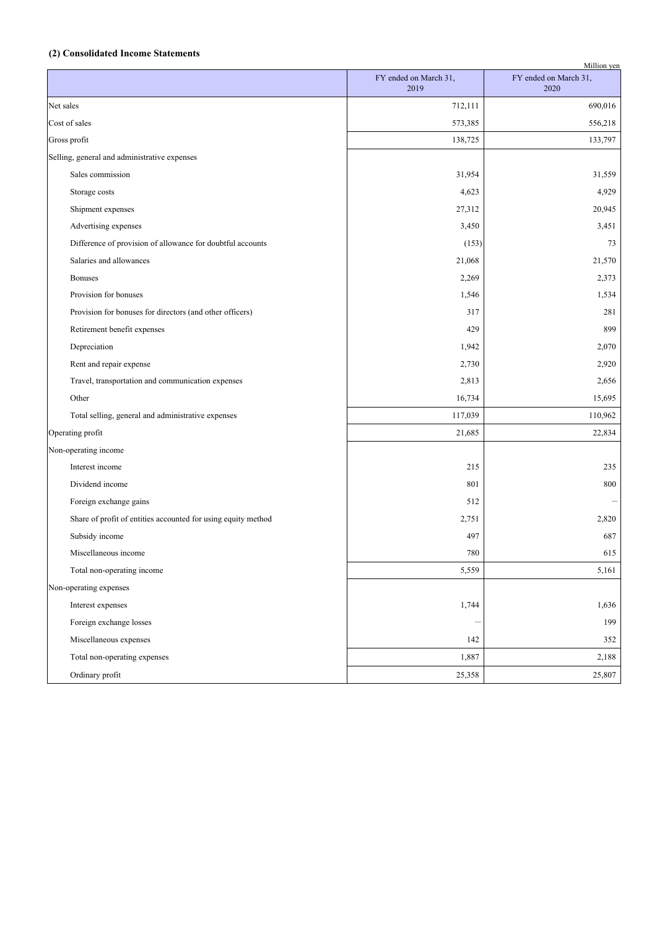#### **(2) Consolidated Income Statements**

| Million yen                                                   |                               |                               |  |  |
|---------------------------------------------------------------|-------------------------------|-------------------------------|--|--|
|                                                               | FY ended on March 31,<br>2019 | FY ended on March 31,<br>2020 |  |  |
| Net sales                                                     | 712,111                       | 690,016                       |  |  |
| Cost of sales                                                 | 573,385                       | 556,218                       |  |  |
| Gross profit                                                  | 138,725                       | 133,797                       |  |  |
| Selling, general and administrative expenses                  |                               |                               |  |  |
| Sales commission                                              | 31,954                        | 31,559                        |  |  |
| Storage costs                                                 | 4,623                         | 4,929                         |  |  |
| Shipment expenses                                             | 27,312                        | 20,945                        |  |  |
| Advertising expenses                                          | 3,450                         | 3,451                         |  |  |
| Difference of provision of allowance for doubtful accounts    | (153)                         | 73                            |  |  |
| Salaries and allowances                                       | 21,068                        | 21,570                        |  |  |
| <b>Bonuses</b>                                                | 2,269                         | 2,373                         |  |  |
| Provision for bonuses                                         | 1,546                         | 1,534                         |  |  |
| Provision for bonuses for directors (and other officers)      | 317                           | 281                           |  |  |
| Retirement benefit expenses                                   | 429                           | 899                           |  |  |
| Depreciation                                                  | 1,942                         | 2,070                         |  |  |
| Rent and repair expense                                       | 2,730                         | 2,920                         |  |  |
| Travel, transportation and communication expenses             | 2,813                         | 2,656                         |  |  |
| Other                                                         | 16,734                        | 15,695                        |  |  |
| Total selling, general and administrative expenses            | 117,039                       | 110,962                       |  |  |
| Operating profit                                              | 21,685                        | 22,834                        |  |  |
| Non-operating income                                          |                               |                               |  |  |
| Interest income                                               | 215                           | 235                           |  |  |
| Dividend income                                               | 801                           | 800                           |  |  |
| Foreign exchange gains                                        | 512                           |                               |  |  |
| Share of profit of entities accounted for using equity method | 2,751                         | 2,820                         |  |  |
| Subsidy income                                                | 497                           | 687                           |  |  |
| Miscellaneous income                                          | $780\,$                       | 615                           |  |  |
| Total non-operating income                                    | 5,559                         | 5,161                         |  |  |
| Non-operating expenses                                        |                               |                               |  |  |
| Interest expenses                                             | 1,744                         | 1,636                         |  |  |
| Foreign exchange losses                                       |                               | 199                           |  |  |
| Miscellaneous expenses                                        | 142                           | 352                           |  |  |
| Total non-operating expenses                                  | 1,887                         | 2,188                         |  |  |
| Ordinary profit                                               | 25,358                        | 25,807                        |  |  |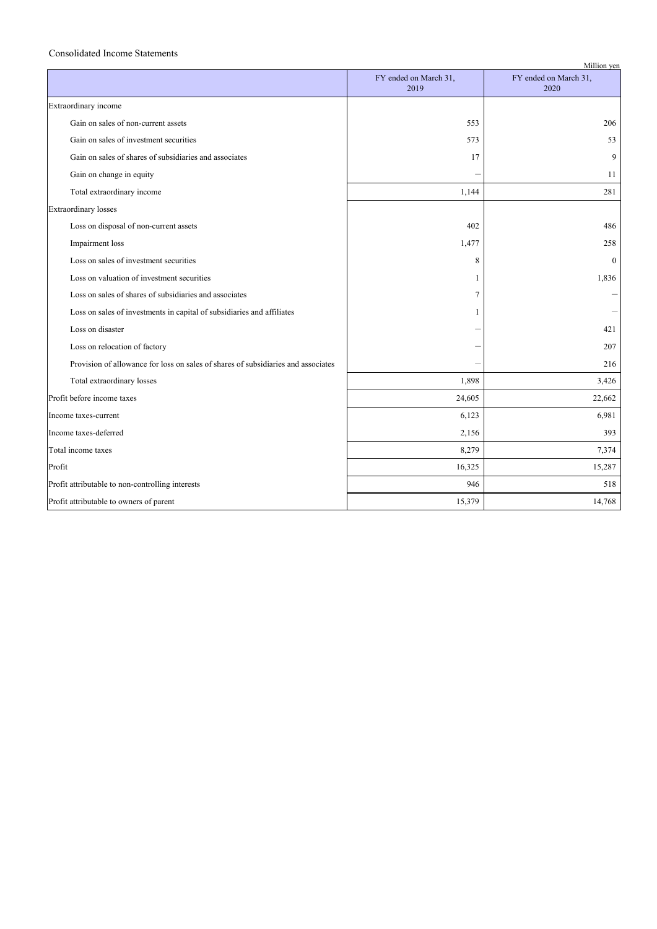#### Consolidated Income Statements

|                                                                                   |                               | Million yen                   |
|-----------------------------------------------------------------------------------|-------------------------------|-------------------------------|
|                                                                                   | FY ended on March 31,<br>2019 | FY ended on March 31,<br>2020 |
| Extraordinary income                                                              |                               |                               |
| Gain on sales of non-current assets                                               | 553                           | 206                           |
| Gain on sales of investment securities                                            | 573                           | 53                            |
| Gain on sales of shares of subsidiaries and associates                            | 17                            | 9                             |
| Gain on change in equity                                                          |                               | 11                            |
| Total extraordinary income                                                        | 1,144                         | 281                           |
| <b>Extraordinary losses</b>                                                       |                               |                               |
| Loss on disposal of non-current assets                                            | 402                           | 486                           |
| Impairment loss                                                                   | 1,477                         | 258                           |
| Loss on sales of investment securities                                            | 8                             | $\Omega$                      |
| Loss on valuation of investment securities                                        | 1                             | 1,836                         |
| Loss on sales of shares of subsidiaries and associates                            | $\overline{7}$                |                               |
| Loss on sales of investments in capital of subsidiaries and affiliates            | 1                             |                               |
| Loss on disaster                                                                  |                               | 421                           |
| Loss on relocation of factory                                                     |                               | 207                           |
| Provision of allowance for loss on sales of shares of subsidiaries and associates |                               | 216                           |
| Total extraordinary losses                                                        | 1,898                         | 3,426                         |
| Profit before income taxes                                                        | 24,605                        | 22,662                        |
| Income taxes-current                                                              | 6,123                         | 6,981                         |
| Income taxes-deferred                                                             | 2,156                         | 393                           |
| Total income taxes                                                                | 8,279                         | 7,374                         |
| Profit                                                                            | 16,325                        | 15,287                        |
| Profit attributable to non-controlling interests                                  | 946                           | 518                           |
| Profit attributable to owners of parent                                           | 15,379                        | 14,768                        |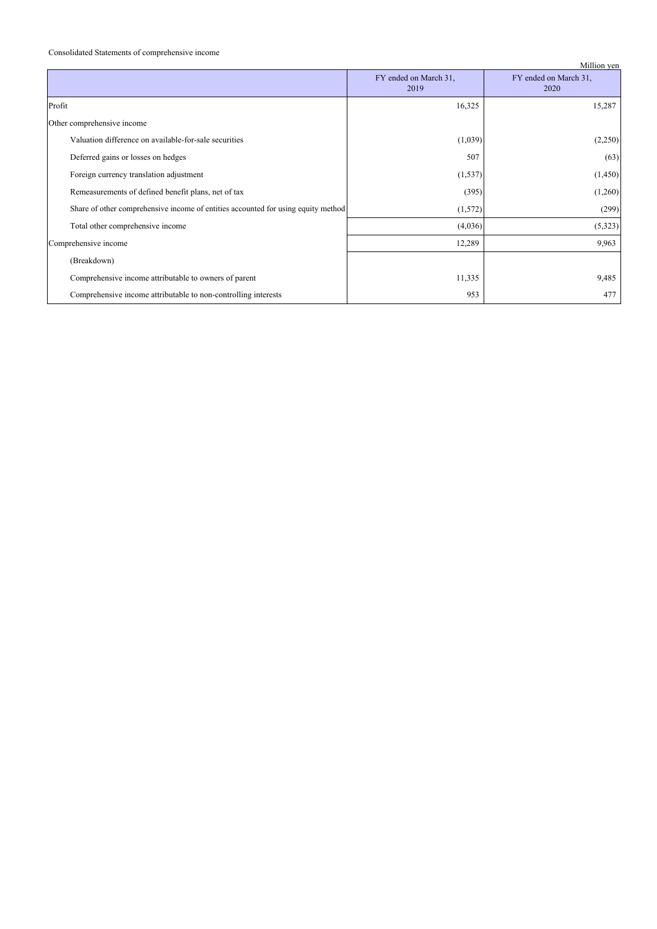#### Consolidated Statements of comprehensive income

|                                                                                   |                               | Million yen                   |
|-----------------------------------------------------------------------------------|-------------------------------|-------------------------------|
|                                                                                   | FY ended on March 31,<br>2019 | FY ended on March 31,<br>2020 |
| Profit                                                                            | 16,325                        | 15,287                        |
| Other comprehensive income                                                        |                               |                               |
| Valuation difference on available-for-sale securities                             | (1,039)                       | (2,250)                       |
| Deferred gains or losses on hedges                                                | 507                           | (63)                          |
| Foreign currency translation adjustment                                           | (1, 537)                      | (1, 450)                      |
| Remeasurements of defined benefit plans, net of tax                               | (395)                         | (1,260)                       |
| Share of other comprehensive income of entities accounted for using equity method | (1,572)                       | (299)                         |
| Total other comprehensive income                                                  | (4,036)                       | (5,323)                       |
| Comprehensive income                                                              | 12,289                        | 9,963                         |
| (Breakdown)                                                                       |                               |                               |
| Comprehensive income attributable to owners of parent                             | 11,335                        | 9,485                         |
| Comprehensive income attributable to non-controlling interests                    | 953                           | 477                           |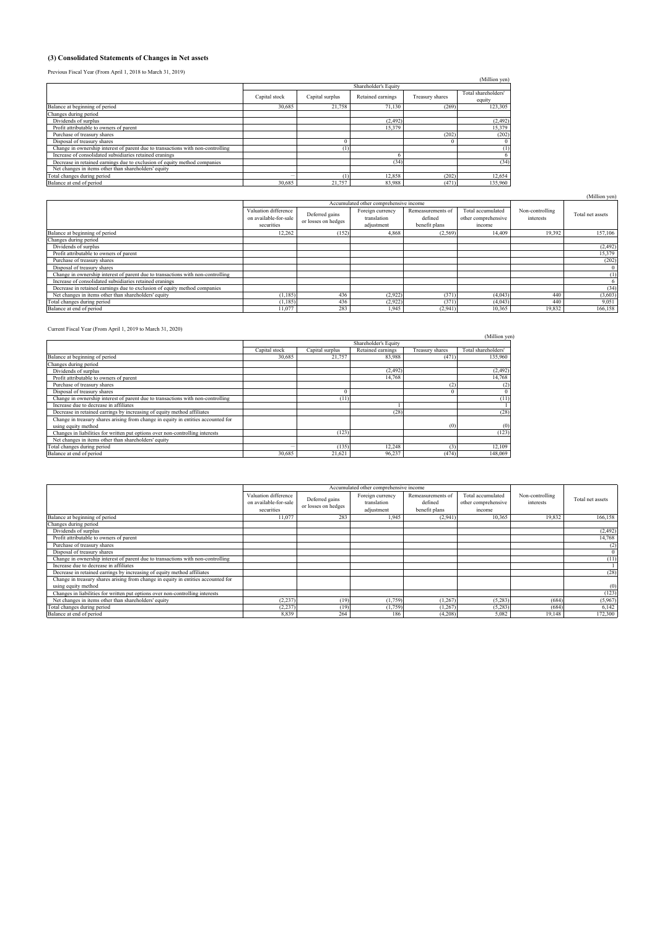#### **(3) Consolidated Statements of Changes in Net assets**

Previous Fiscal Year (From April 1, 2018 to March 31, 2019)

| Previous Fiscal Year (From April 1, 2018 to March 31, 2019)                     |               |                                      |                 |                     |               |  |  |  |
|---------------------------------------------------------------------------------|---------------|--------------------------------------|-----------------|---------------------|---------------|--|--|--|
|                                                                                 |               |                                      |                 |                     | (Million yen) |  |  |  |
|                                                                                 |               | Shareholder's Equity                 |                 |                     |               |  |  |  |
|                                                                                 | Capital stock | Capital surplus<br>Retained earnings | Treasury shares | Total shareholders' |               |  |  |  |
|                                                                                 |               |                                      |                 |                     | equity        |  |  |  |
| Balance at beginning of period                                                  | 30,685        | 21.758                               | 71.130          | (269)               | 123,305       |  |  |  |
| Changes during period                                                           |               |                                      |                 |                     |               |  |  |  |
| Dividends of surplus                                                            |               |                                      | (2, 492)        |                     | (2, 492)      |  |  |  |
| Profit attributable to owners of parent                                         |               |                                      | 15,379          |                     | 15,379        |  |  |  |
| Purchase of treasury shares                                                     |               |                                      |                 | (202)               | (202)         |  |  |  |
| Disposal of treasury shares                                                     |               |                                      |                 |                     |               |  |  |  |
| Change in ownership interest of parent due to transactions with non-controlling |               | (1)                                  |                 |                     | (1)           |  |  |  |
| Increase of consolidated subsidiaries retained eranings                         |               |                                      |                 |                     |               |  |  |  |
| Decrease in retained earnings due to exclusion of equity method companies       |               |                                      | (34)            |                     | (34)          |  |  |  |
| Net changes in items other than shareholders' equity                            |               |                                      |                 |                     |               |  |  |  |
| Total changes during period                                                     |               |                                      | 12,858          | (202)               | 12,654        |  |  |  |
| Balance at end of period                                                        | 30.685        | 21,757                               | 83,988          | (471)               | 135,960       |  |  |  |

|                                                                                 |                                                             |                                       |                                               |                                               |                                                    |                              | (Million yen)    |
|---------------------------------------------------------------------------------|-------------------------------------------------------------|---------------------------------------|-----------------------------------------------|-----------------------------------------------|----------------------------------------------------|------------------------------|------------------|
|                                                                                 |                                                             |                                       | Accumulated other comprehensive income        |                                               |                                                    |                              |                  |
|                                                                                 | Valuation difference<br>on available-for-sale<br>securities | Deferred gains<br>or losses on hedges | Foreign currency<br>translation<br>adjustment | Remeasurements of<br>defined<br>benefit plans | Total accumulated<br>other comprehensive<br>income | Non-controlling<br>interests | Total net assets |
| Balance at beginning of period                                                  | 12,262                                                      | (152)                                 | 4,868                                         | (2,569)                                       | 14.409                                             | 19,392                       | 157,106          |
| Changes during period                                                           |                                                             |                                       |                                               |                                               |                                                    |                              |                  |
| Dividends of surplus                                                            |                                                             |                                       |                                               |                                               |                                                    |                              | (2, 492)         |
| Profit attributable to owners of parent                                         |                                                             |                                       |                                               |                                               |                                                    |                              | 15,379           |
| Purchase of treasury shares                                                     |                                                             |                                       |                                               |                                               |                                                    |                              | (202)            |
| Disposal of treasury shares                                                     |                                                             |                                       |                                               |                                               |                                                    |                              |                  |
| Change in ownership interest of parent due to transactions with non-controlling |                                                             |                                       |                                               |                                               |                                                    |                              | (1)              |
| Increase of consolidated subsidiaries retained eranings                         |                                                             |                                       |                                               |                                               |                                                    |                              |                  |
| Decrease in retained earnings due to exclusion of equity method companies       |                                                             |                                       |                                               |                                               |                                                    |                              | (34)             |
| Net changes in items other than shareholders' equity                            | (1.185)                                                     | 436                                   | (2,922)                                       | (371)                                         | (4,043)                                            | 440                          | (3,603)          |
| Total changes during period                                                     | (1.185)                                                     | 436                                   | (2,922)                                       | (371)                                         | (4.043)                                            | 440                          | 9,051            |
| Balance at end of period                                                        | 11,077                                                      | 283                                   | 1,945                                         | (2,941)                                       | 10,365                                             | 19,832                       | 166,158          |

Current Fiscal Year (From April 1, 2019 to March 31, 2020)

|                                                                                   |                      |                 |                   |                 | (Million ven)       |  |  |
|-----------------------------------------------------------------------------------|----------------------|-----------------|-------------------|-----------------|---------------------|--|--|
|                                                                                   | Shareholder's Equity |                 |                   |                 |                     |  |  |
|                                                                                   | Capital stock        | Capital surplus | Retained earnings | Treasury shares | Total shareholders' |  |  |
| Balance at beginning of period                                                    | 30,685               | 21,757          | 83,988            | (471)           | 135,960             |  |  |
| Changes during period                                                             |                      |                 |                   |                 |                     |  |  |
| Dividends of surplus                                                              |                      |                 | (2, 492)          |                 | (2, 492)            |  |  |
| Profit attributable to owners of parent                                           |                      |                 | 14.768            |                 | 14,768              |  |  |
| Purchase of treasury shares                                                       |                      |                 |                   | (2)             |                     |  |  |
| Disposal of treasury shares                                                       |                      |                 |                   |                 |                     |  |  |
| Change in ownership interest of parent due to transactions with non-controlling   |                      | (11)            |                   |                 | (11)                |  |  |
| Increase due to decrease in affiliates                                            |                      |                 |                   |                 |                     |  |  |
| Decrease in retained earrings by increasing of equity method affiliates           |                      |                 | (28)              |                 | (28)                |  |  |
| Change in treasury shares arising from change in equity in entities accounted for |                      |                 |                   |                 |                     |  |  |
| using equity method                                                               |                      |                 |                   | (0)             | (0)                 |  |  |
| Changes in liabilities for written put options over non-controlling interests     |                      | (123)           |                   |                 | (123)               |  |  |
| Net changes in items other than shareholders' equity                              |                      |                 |                   |                 |                     |  |  |
| Total changes during period                                                       |                      | (135)           | 12.248            | (3)             | 12,109              |  |  |
| Balance at end of period                                                          | 30.685               | 21.621          | 96.237            | (474)           | 148,069             |  |  |

|                                                                                   | Accumulated other comprehensive income                      |                                       |                                               |                                               |                                                    |                              |                  |
|-----------------------------------------------------------------------------------|-------------------------------------------------------------|---------------------------------------|-----------------------------------------------|-----------------------------------------------|----------------------------------------------------|------------------------------|------------------|
|                                                                                   | Valuation difference<br>on available-for-sale<br>securities | Deferred gains<br>or losses on hedges | Foreign currency<br>translation<br>adjustment | Remeasurements of<br>defined<br>benefit plans | Total accumulated<br>other comprehensive<br>income | Non-controlling<br>interests | Total net assets |
| Balance at beginning of period                                                    | 11,077                                                      | 283                                   | 1.945                                         | (2.941)                                       | 10.365                                             | 19.832                       | 166,158          |
| Changes during period                                                             |                                                             |                                       |                                               |                                               |                                                    |                              |                  |
| Dividends of surplus                                                              |                                                             |                                       |                                               |                                               |                                                    |                              | (2, 492)         |
| Profit attributable to owners of parent                                           |                                                             |                                       |                                               |                                               |                                                    |                              | 14,768           |
| Purchase of treasury shares                                                       |                                                             |                                       |                                               |                                               |                                                    |                              | (2)              |
| Disposal of treasury shares                                                       |                                                             |                                       |                                               |                                               |                                                    |                              |                  |
| Change in ownership interest of parent due to transactions with non-controlling   |                                                             |                                       |                                               |                                               |                                                    |                              | (11)             |
| Increase due to decrease in affiliates                                            |                                                             |                                       |                                               |                                               |                                                    |                              |                  |
| Decrease in retained earrings by increasing of equity method affiliates           |                                                             |                                       |                                               |                                               |                                                    |                              | (28)             |
| Change in treasury shares arising from change in equity in entities accounted for |                                                             |                                       |                                               |                                               |                                                    |                              |                  |
| using equity method                                                               |                                                             |                                       |                                               |                                               |                                                    |                              | (0)              |
| Changes in liabilities for written put options over non-controlling interests     |                                                             |                                       |                                               |                                               |                                                    |                              | (123)            |
| Net changes in items other than shareholders' equity                              | (2, 237)                                                    | (19)                                  | 1,759                                         | (1.267)                                       | (5,283)                                            | (684)                        | (5,967)          |
| Total changes during period                                                       | (2, 237)                                                    | (19)                                  | (1,759)                                       | (1, 267)                                      | (5, 283)                                           | (684)                        | 6,142            |
| Balance at end of period                                                          | 8,839                                                       | 264                                   | 186                                           | (4.208)                                       | 5.082                                              | 19.148                       | 172,300          |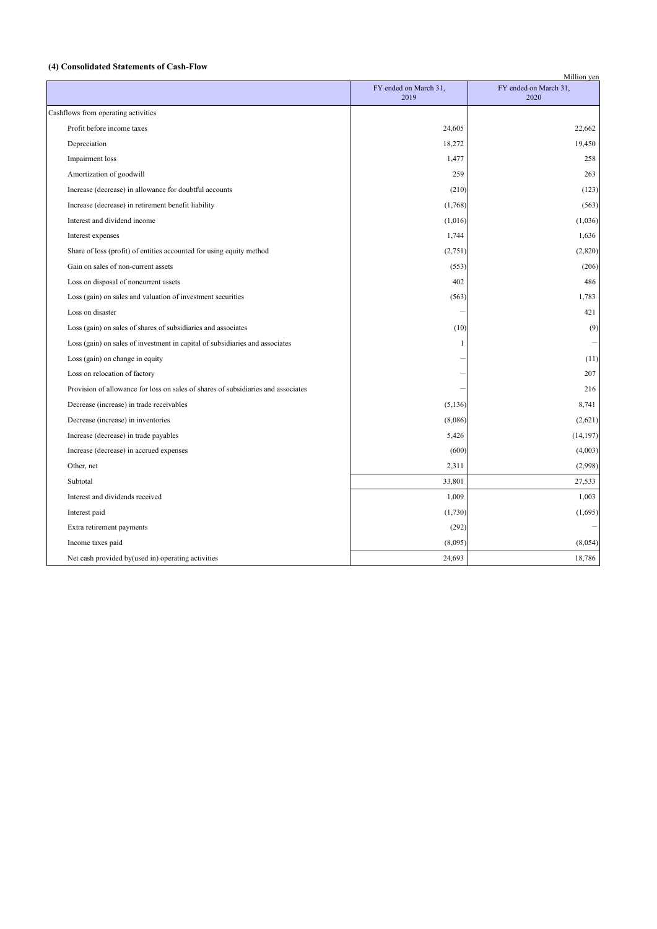# **(4) Consolidated Statements of Cash-Flow**

| Million yen                                                                       |                               |                               |  |  |
|-----------------------------------------------------------------------------------|-------------------------------|-------------------------------|--|--|
|                                                                                   | FY ended on March 31,<br>2019 | FY ended on March 31,<br>2020 |  |  |
| Cashflows from operating activities                                               |                               |                               |  |  |
| Profit before income taxes                                                        | 24,605                        | 22,662                        |  |  |
| Depreciation                                                                      | 18,272                        | 19,450                        |  |  |
| Impairment loss                                                                   | 1,477                         | 258                           |  |  |
| Amortization of goodwill                                                          | 259                           | 263                           |  |  |
| Increase (decrease) in allowance for doubtful accounts                            | (210)                         | (123)                         |  |  |
| Increase (decrease) in retirement benefit liability                               | (1,768)                       | (563)                         |  |  |
| Interest and dividend income                                                      | (1,016)                       | (1,036)                       |  |  |
| Interest expenses                                                                 | 1,744                         | 1,636                         |  |  |
| Share of loss (profit) of entities accounted for using equity method              | (2,751)                       | (2,820)                       |  |  |
| Gain on sales of non-current assets                                               | (553)                         | (206)                         |  |  |
| Loss on disposal of noncurrent assets                                             | 402                           | 486                           |  |  |
| Loss (gain) on sales and valuation of investment securities                       | (563)                         | 1,783                         |  |  |
| Loss on disaster                                                                  |                               | 421                           |  |  |
| Loss (gain) on sales of shares of subsidiaries and associates                     | (10)                          | (9)                           |  |  |
| Loss (gain) on sales of investment in capital of subsidiaries and associates      | 1                             |                               |  |  |
| Loss (gain) on change in equity                                                   |                               | (11)                          |  |  |
| Loss on relocation of factory                                                     |                               | 207                           |  |  |
| Provision of allowance for loss on sales of shares of subsidiaries and associates |                               | 216                           |  |  |
| Decrease (increase) in trade receivables                                          | (5, 136)                      | 8,741                         |  |  |
| Decrease (increase) in inventories                                                | (8,086)                       | (2,621)                       |  |  |
| Increase (decrease) in trade payables                                             | 5,426                         | (14, 197)                     |  |  |
| Increase (decrease) in accrued expenses                                           | (600)                         | (4,003)                       |  |  |
| Other, net                                                                        | 2,311                         | (2,998)                       |  |  |
| Subtotal                                                                          | 33,801                        | 27,533                        |  |  |
| Interest and dividends received                                                   | 1,009                         | 1,003                         |  |  |
| Interest paid                                                                     | (1,730)                       | (1,695)                       |  |  |
| Extra retirement payments                                                         | (292)                         |                               |  |  |
| Income taxes paid                                                                 | (8,095)                       | (8,054)                       |  |  |
| Net cash provided by(used in) operating activities                                | 24,693                        | 18,786                        |  |  |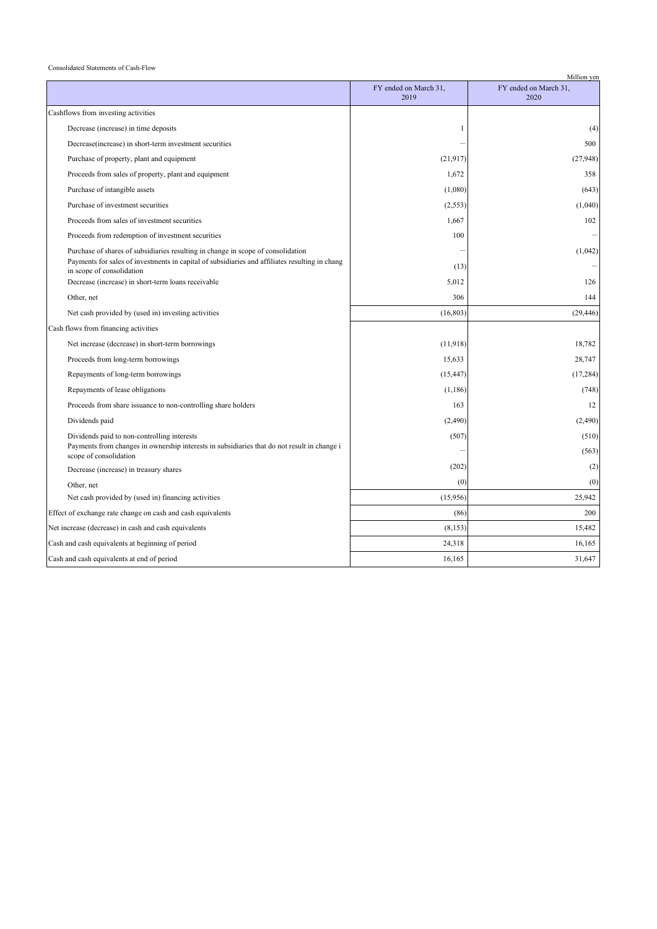#### Consolidated Statements of Cash-Flow

|                                                                                                                             |                               | Million yen                   |
|-----------------------------------------------------------------------------------------------------------------------------|-------------------------------|-------------------------------|
|                                                                                                                             | FY ended on March 31,<br>2019 | FY ended on March 31,<br>2020 |
| Cashflows from investing activities                                                                                         |                               |                               |
| Decrease (increase) in time deposits                                                                                        | 1                             | (4)                           |
| Decrease(increase) in short-term investment securities                                                                      |                               | 500                           |
| Purchase of property, plant and equipment                                                                                   | (21, 917)                     | (27, 948)                     |
| Proceeds from sales of property, plant and equipment                                                                        | 1,672                         | 358                           |
| Purchase of intangible assets                                                                                               | (1,080)                       | (643)                         |
| Purchase of investment securities                                                                                           | (2, 553)                      | (1,040)                       |
| Proceeds from sales of investment securities                                                                                | 1,667                         | 102                           |
| Proceeds from redemption of investment securities                                                                           | 100                           |                               |
| Purchase of shares of subsidiaries resulting in change in scope of consolidation                                            |                               | (1,042)                       |
| Payments for sales of investments in capital of subsidiaries and affiliates resulting in chang<br>in scope of consolidation | (13)                          |                               |
| Decrease (increase) in short-term loans receivable                                                                          | 5,012                         | 126                           |
| Other, net                                                                                                                  | 306                           | 144                           |
| Net cash provided by (used in) investing activities                                                                         | (16, 803)                     | (29, 446)                     |
| Cash flows from financing activities                                                                                        |                               |                               |
| Net increase (decrease) in short-term borrowings                                                                            | (11,918)                      | 18,782                        |
| Proceeds from long-term borrowings                                                                                          | 15,633                        | 28,747                        |
| Repayments of long-term borrowings                                                                                          | (15, 447)                     | (17, 284)                     |
| Repayments of lease obligations                                                                                             | (1,186)                       | (748)                         |
| Proceeds from share issuance to non-controlling share holders                                                               | 163                           | 12                            |
| Dividends paid                                                                                                              | (2,490)                       | (2,490)                       |
| Dividends paid to non-controlling interests                                                                                 | (507)                         | (510)                         |
| Payments from changes in ownership interests in subsidiaries that do not result in change i<br>scope of consolidation       |                               | (563)                         |
| Decrease (increase) in treasury shares                                                                                      | (202)                         | (2)                           |
| Other, net                                                                                                                  | (0)                           | (0)                           |
| Net cash provided by (used in) financing activities                                                                         | (15,956)                      | 25,942                        |
| Effect of exchange rate change on cash and cash equivalents                                                                 | (86)                          | 200                           |
| Net increase (decrease) in cash and cash equivalents                                                                        | (8, 153)                      | 15,482                        |
| Cash and cash equivalents at beginning of period                                                                            | 24,318                        | 16,165                        |
| Cash and cash equivalents at end of period                                                                                  | 16,165                        | 31,647                        |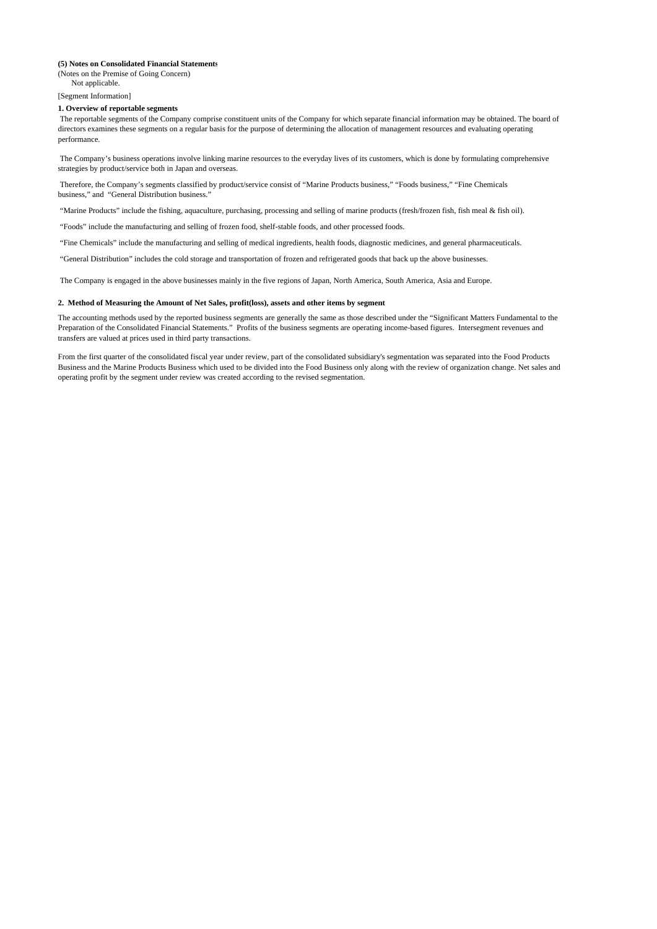#### **(5) Notes on Consolidated Financial Statements**

(Notes on the Premise of Going Concern) Not applicable.

[Segment Information]

#### **1. Overview of reportable segments**

 The reportable segments of the Company comprise constituent units of the Company for which separate financial information may be obtained. The board of directors examines these segments on a regular basis for the purpose of determining the allocation of management resources and evaluating operating performance.

 The Company's business operations involve linking marine resources to the everyday lives of its customers, which is done by formulating comprehensive strategies by product/service both in Japan and overseas.

 Therefore, the Company's segments classified by product/service consist of "Marine Products business," "Foods business," "Fine Chemicals business," and "General Distribution business."

"Marine Products" include the fishing, aquaculture, purchasing, processing and selling of marine products (fresh/frozen fish, fish meal & fish oil).

"Foods" include the manufacturing and selling of frozen food, shelf-stable foods, and other processed foods.

"Fine Chemicals" include the manufacturing and selling of medical ingredients, health foods, diagnostic medicines, and general pharmaceuticals.

"General Distribution" includes the cold storage and transportation of frozen and refrigerated goods that back up the above businesses.

The Company is engaged in the above businesses mainly in the five regions of Japan, North America, South America, Asia and Europe.

#### **2. Method of Measuring the Amount of Net Sales, profit(loss), assets and other items by segment**

The accounting methods used by the reported business segments are generally the same as those described under the "Significant Matters Fundamental to the Preparation of the Consolidated Financial Statements." Profits of the business segments are operating income-based figures. Intersegment revenues and transfers are valued at prices used in third party transactions.

From the first quarter of the consolidated fiscal year under review, part of the consolidated subsidiary's segmentation was separated into the Food Products Business and the Marine Products Business which used to be divided into the Food Business only along with the review of organization change. Net sales and operating profit by the segment under review was created according to the revised segmentation.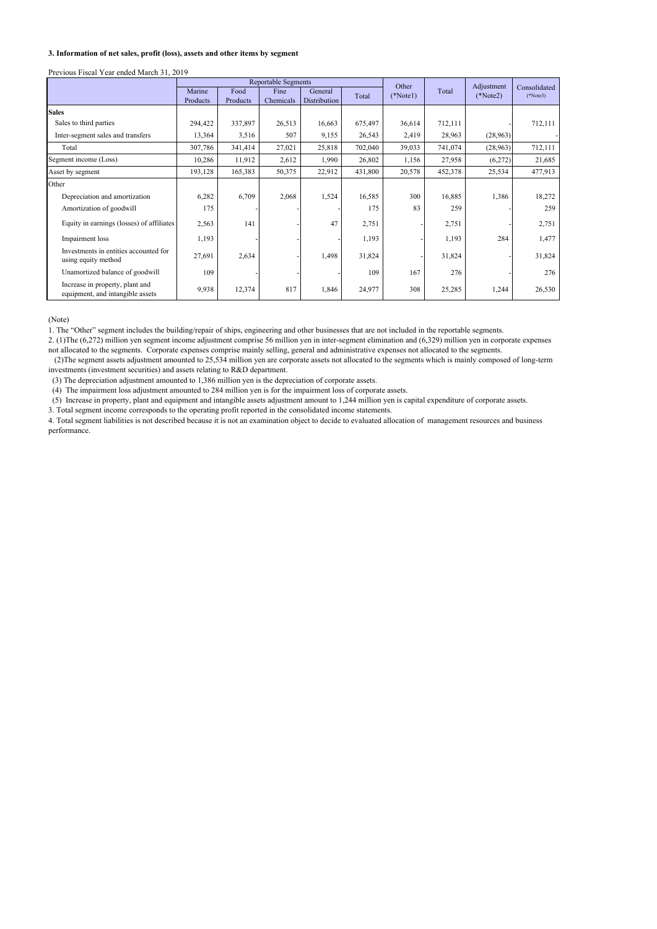#### **3. Information of net sales, profit (loss), assets and other items by segment**

#### Previous Fiscal Year ended March 31, 2019

|                                                                     | <b>Reportable Segments</b> |                  |                   |                                | Other   |            | Adjustment | Consolidated |            |
|---------------------------------------------------------------------|----------------------------|------------------|-------------------|--------------------------------|---------|------------|------------|--------------|------------|
|                                                                     | Marine<br>Products         | Food<br>Products | Fine<br>Chemicals | General<br><b>Distribution</b> | Total   | $(*Note1)$ | Total      | $(*Note2)$   | $(*Note3)$ |
| <b>Sales</b>                                                        |                            |                  |                   |                                |         |            |            |              |            |
| Sales to third parties                                              | 294,422                    | 337,897          | 26,513            | 16,663                         | 675,497 | 36,614     | 712,111    |              | 712,111    |
| Inter-segment sales and transfers                                   | 13,364                     | 3,516            | 507               | 9,155                          | 26,543  | 2,419      | 28,963     | (28, 963)    |            |
| Total                                                               | 307,786                    | 341,414          | 27,021            | 25,818                         | 702,040 | 39,033     | 741,074    | (28,963)     | 712,111    |
| Segment income (Loss)                                               | 10,286                     | 11,912           | 2,612             | 1,990                          | 26,802  | 1,156      | 27,958     | (6,272)      | 21,685     |
| Asset by segment                                                    | 193,128                    | 165,383          | 50,375            | 22,912                         | 431,800 | 20,578     | 452,378    | 25,534       | 477,913    |
| Other                                                               |                            |                  |                   |                                |         |            |            |              |            |
| Depreciation and amortization                                       | 6,282                      | 6,709            | 2,068             | 1,524                          | 16,585  | 300        | 16,885     | 1,386        | 18,272     |
| Amortization of goodwill                                            | 175                        |                  |                   |                                | 175     | 83         | 259        |              | 259        |
| Equity in earnings (losses) of affiliates                           | 2,563                      | 141              |                   | 47                             | 2,751   |            | 2,751      |              | 2,751      |
| Impairment loss                                                     | 1,193                      |                  |                   |                                | 1,193   |            | 1,193      | 284          | 1,477      |
| Investments in entities accounted for<br>using equity method        | 27,691                     | 2,634            |                   | 1,498                          | 31,824  |            | 31,824     |              | 31,824     |
| Unamortized balance of goodwill                                     | 109                        |                  |                   |                                | 109     | 167        | 276        |              | 276        |
| Increase in property, plant and<br>equipment, and intangible assets | 9,938                      | 12,374           | 817               | 1,846                          | 24,977  | 308        | 25,285     | 1,244        | 26,530     |

(Note)

1. The "Other" segment includes the building/repair of ships, engineering and other businesses that are not included in the reportable segments.

2. (1)The (6,272) million yen segment income adjustment comprise 56 million yen in inter-segment elimination and (6,329) million yen in corporate expenses not allocated to the segments. Corporate expenses comprise mainly selling, general and administrative expenses not allocated to the segments.

 (2)The segment assets adjustment amounted to 25,534 million yen are corporate assets not allocated to the segments which is mainly composed of long-term investments (investment securities) and assets relating to R&D department.

(3) The depreciation adjustment amounted to 1,386 million yen is the depreciation of corporate assets.

(4) The impairment loss adjustment amounted to 284 million yen is for the impairment loss of corporate assets.

(5) Increase in property, plant and equipment and intangible assets adjustment amount to 1,244 million yen is capital expenditure of corporate assets.

3. Total segment income corresponds to the operating profit reported in the consolidated income statements.

4. Total segment liabilities is not described because it is not an examination object to decide to evaluated allocation of management resources and business performance.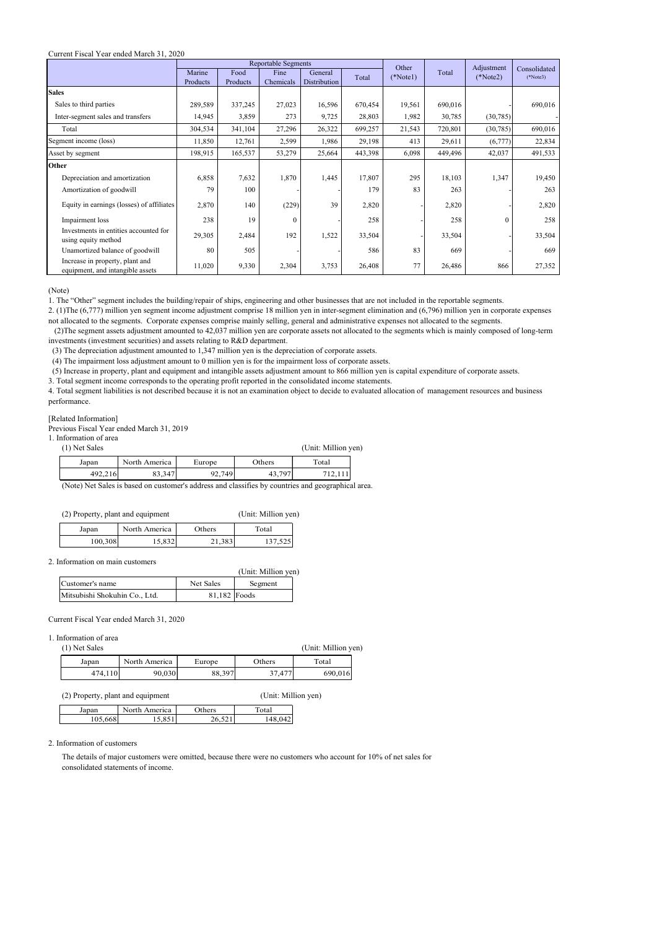#### Current Fiscal Year ended March 31, 2020

|                                                                     | <b>Reportable Segments</b> |          |              |              | Other   |            | Adjustment | Consolidated |            |
|---------------------------------------------------------------------|----------------------------|----------|--------------|--------------|---------|------------|------------|--------------|------------|
|                                                                     | Marine                     | Food     | Fine         | General      | Total   | $(*Note1)$ | Total      | $(*Note2)$   | $(*Note3)$ |
|                                                                     | Products                   | Products | Chemicals    | Distribution |         |            |            |              |            |
| <b>Sales</b>                                                        |                            |          |              |              |         |            |            |              |            |
| Sales to third parties                                              | 289,589                    | 337,245  | 27,023       | 16,596       | 670,454 | 19,561     | 690,016    |              | 690,016    |
| Inter-segment sales and transfers                                   | 14,945                     | 3,859    | 273          | 9,725        | 28,803  | 1,982      | 30,785     | (30, 785)    |            |
| Total                                                               | 304,534                    | 341,104  | 27,296       | 26,322       | 699,257 | 21,543     | 720,801    | (30, 785)    | 690,016    |
| Segment income (loss)                                               | 11,850                     | 12,761   | 2,599        | 1,986        | 29,198  | 413        | 29,611     | (6,777)      | 22,834     |
| Asset by segment                                                    | 198,915                    | 165,537  | 53,279       | 25,664       | 443,398 | 6,098      | 449,496    | 42,037       | 491,533    |
| Other                                                               |                            |          |              |              |         |            |            |              |            |
| Depreciation and amortization                                       | 6,858                      | 7,632    | 1,870        | 1,445        | 17,807  | 295        | 18,103     | 1,347        | 19,450     |
| Amortization of goodwill                                            | 79                         | 100      |              |              | 179     | 83         | 263        |              | 263        |
| Equity in earnings (losses) of affiliates                           | 2,870                      | 140      | (229)        | 39           | 2,820   |            | 2,820      |              | 2,820      |
| Impairment loss                                                     | 238                        | 19       | $\mathbf{0}$ |              | 258     |            | 258        | $\theta$     | 258        |
| Investments in entities accounted for<br>using equity method        | 29,305                     | 2,484    | 192          | 1,522        | 33,504  |            | 33,504     |              | 33,504     |
| Unamortized balance of goodwill                                     | 80                         | 505      |              |              | 586     | 83         | 669        |              | 669        |
| Increase in property, plant and<br>equipment, and intangible assets | 11,020                     | 9,330    | 2,304        | 3,753        | 26,408  | 77         | 26,486     | 866          | 27,352     |

(Note)

1. The "Other" segment includes the building/repair of ships, engineering and other businesses that are not included in the reportable segments.

2. (1)The (6,777) million yen segment income adjustment comprise 18 million yen in inter-segment elimination and (6,796) million yen in corporate expenses not allocated to the segments. Corporate expenses comprise mainly selling, general and administrative expenses not allocated to the segments.

 (2)The segment assets adjustment amounted to 42,037 million yen are corporate assets not allocated to the segments which is mainly composed of long-term investments (investment securities) and assets relating to R&D department.

(3) The depreciation adjustment amounted to 1,347 million yen is the depreciation of corporate assets.

(4) The impairment loss adjustment amount to 0 million yen is for the impairment loss of corporate assets.

(5) Increase in property, plant and equipment and intangible assets adjustment amount to 866 million yen is capital expenditure of corporate assets.

3. Total segment income corresponds to the operating profit reported in the consolidated income statements.

4. Total segment liabilities is not described because it is not an examination object to decide to evaluated allocation of management resources and business performance.

#### [Related Information]

Previous Fiscal Year ended March 31, 2019

1. Information of area

| (1) Net Sales |               |        |        | (Unit: Million yen) |  |
|---------------|---------------|--------|--------|---------------------|--|
| Japan         | North America | Europe | Others | Total               |  |
| 492,216       | 83.347        | 92,749 | 43.797 |                     |  |

(Note) Net Sales is based on customer's address and classifies by countries and geographical area.

(2) Property, plant and equipment (Unit: Million yen)

| (Unit: Million ye |  |
|-------------------|--|
|                   |  |

| Japan   | North America | Others | Total   |
|---------|---------------|--------|---------|
| 100,308 | 15,832        | 21,383 | 137.525 |

2. Information on main customers

|                               |              | (Unit: Million yen) |  |
|-------------------------------|--------------|---------------------|--|
| Customer's name               | Net Sales    | Segment             |  |
| Mitsubishi Shokuhin Co., Ltd. | 81,182 Foods |                     |  |

Current Fiscal Year ended March 31, 2020

# 1. Information of area<br>(1) Net Salac

| (1) Net Sales |               |        |        | (Unit: Million yen) |  |
|---------------|---------------|--------|--------|---------------------|--|
| Japan         | North America | Europe | Others | Total               |  |
| 474.110       | 90,030        | 88,397 | 37,477 | 690,016             |  |

(2) Property, plant and equipment (Unit: Million yen)

|         | .             |                  |         |
|---------|---------------|------------------|---------|
| Japan   | North America | <b>Others</b>    | Total   |
| 105,668 | 5051          | 26.521<br>U.J∠ 1 | 148,042 |

#### 2. Information of customers

The details of major customers were omitted, because there were no customers who account for 10% of net sales for consolidated statements of income.